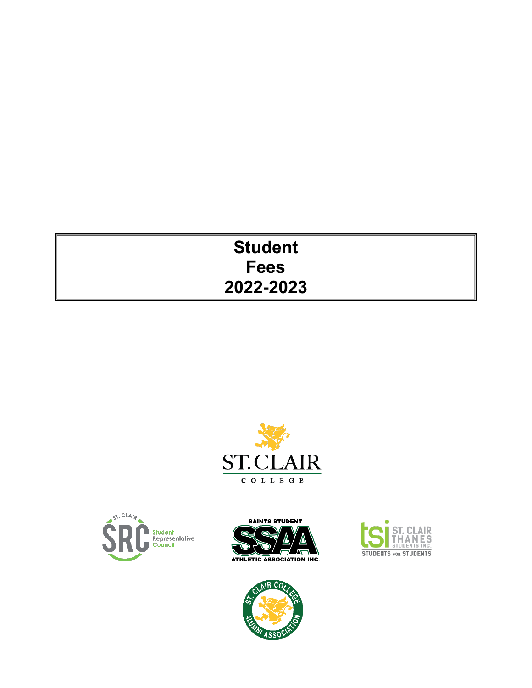# **Student Fees 2022-2023**









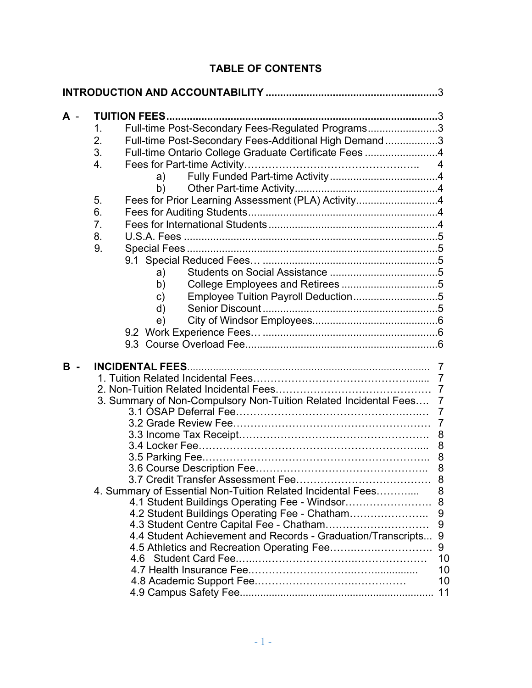| A - | Full-time Post-Secondary Fees-Regulated Programs3<br>1.<br>2.<br>Full-time Post-Secondary Fees-Additional High Demand 3<br>3.<br>Full-time Ontario College Graduate Certificate Fees 4<br>$\overline{4}$ .<br>a) a<br>b)<br>Fees for Prior Learning Assessment (PLA) Activity4<br>5.<br>6.<br>7.<br>8.<br>9.<br>a) a<br>b)<br>Employee Tuition Payroll Deduction5<br>c)<br>d)<br>e) |                                                                 |
|-----|-------------------------------------------------------------------------------------------------------------------------------------------------------------------------------------------------------------------------------------------------------------------------------------------------------------------------------------------------------------------------------------|-----------------------------------------------------------------|
| в   | <b>INCIDENTAL FEES</b><br>3. Summary of Non-Compulsory Non-Tuition Related Incidental Fees 7<br>4. Summary of Essential Non-Tuition Related Incidental Fees<br>4.1 Student Buildings Operating Fee - Windsor 8<br>4.2 Student Buildings Operating Fee - Chatham<br>4.4 Student Achievement and Records - Graduation/Transcripts 9                                                   | $\overline{7}$<br>8<br>8<br>8<br>9<br>9<br>10<br>10<br>10<br>11 |

# **TABLE OF CONTENTS**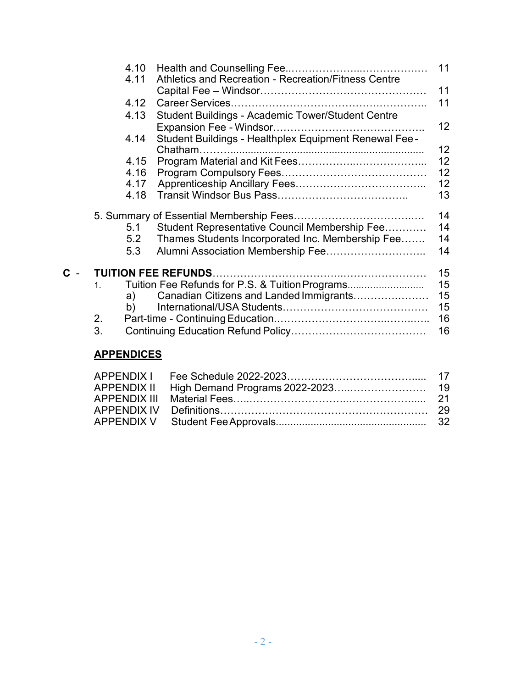|                                  | 4.10<br>4.11      | Athletics and Recreation - Recreation/Fitness Centre                                                                                   | 11<br>11                   |
|----------------------------------|-------------------|----------------------------------------------------------------------------------------------------------------------------------------|----------------------------|
|                                  | 4.12              |                                                                                                                                        | 11                         |
|                                  | 4.13              | Student Buildings - Academic Tower/Student Centre                                                                                      |                            |
|                                  |                   |                                                                                                                                        | $12 \overline{ }$          |
|                                  | 4.14              | Student Buildings - Healthplex Equipment Renewal Fee-                                                                                  | 12 <sub>2</sub>            |
|                                  | 4.15              |                                                                                                                                        | 12                         |
|                                  | 4.16              |                                                                                                                                        | 12                         |
|                                  | 4.17              |                                                                                                                                        | 12                         |
|                                  | 4.18              |                                                                                                                                        | 13                         |
|                                  | 5.1<br>5.2<br>5.3 | Student Representative Council Membership Fee<br>Thames Students Incorporated Inc. Membership Fee<br>Alumni Association Membership Fee | 14<br>14<br>14<br>14       |
|                                  |                   |                                                                                                                                        | 15                         |
| 1 <sub>1</sub><br>b)<br>2.<br>3. | a)                | Tuition Fee Refunds for P.S. & Tuition Programs<br>Canadian Citizens and Landed Immigrants                                             | 15<br>15<br>15<br>16<br>16 |
|                                  |                   |                                                                                                                                        |                            |

# **APPENDICES**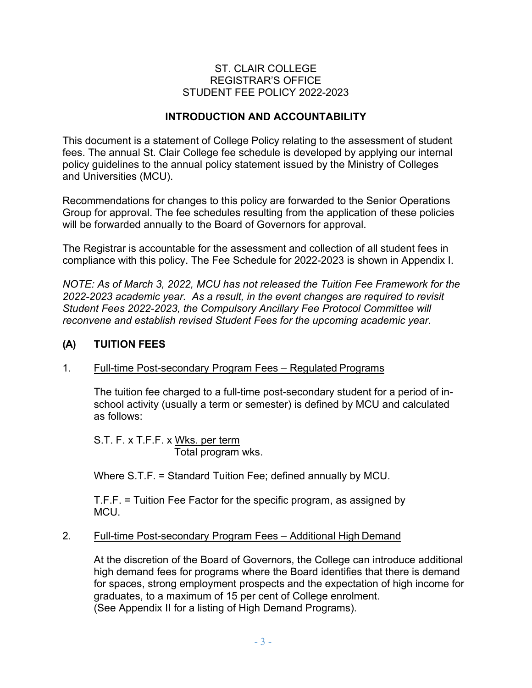#### ST. CLAIR COLLEGE REGISTRAR'S OFFICE STUDENT FEE POLICY 2022-2023

#### **INTRODUCTION AND ACCOUNTABILITY**

<span id="page-3-0"></span>This document is a statement of College Policy relating to the assessment of student fees. The annual St. Clair College fee schedule is developed by applying our internal policy guidelines to the annual policy statement issued by the Ministry of Colleges and Universities (MCU).

Recommendations for changes to this policy are forwarded to the Senior Operations Group for approval. The fee schedules resulting from the application of these policies will be forwarded annually to the Board of Governors for approval.

The Registrar is accountable for the assessment and collection of all student fees in compliance with this policy. The Fee Schedule for 2022-2023 is shown in Appendix I.

*NOTE: As of March 3, 2022, MCU has not released the Tuition Fee Framework for the 2022-2023 academic year. As a result, in the event changes are required to revisit Student Fees 2022-2023, the Compulsory Ancillary Fee Protocol Committee will reconvene and establish revised Student Fees for the upcoming academic year.*

#### <span id="page-3-1"></span>**(A) TUITION FEES**

#### 1. Full-time Post-secondary Program Fees – Regulated Programs

The tuition fee charged to a full-time post-secondary student for a period of inschool activity (usually a term or semester) is defined by MCU and calculated as follows:

S.T. F. x T.F.F. x Wks. per term Total program wks.

Where S.T.F. = Standard Tuition Fee; defined annually by MCU.

T.F.F. = Tuition Fee Factor for the specific program, as assigned by MCU.

#### 2. Full-time Post-secondary Program Fees – Additional High Demand

At the discretion of the Board of Governors, the College can introduce additional high demand fees for programs where the Board identifies that there is demand for spaces, strong employment prospects and the expectation of high income for graduates, to a maximum of 15 per cent of College enrolment. (See Appendix II for a listing of High Demand Programs).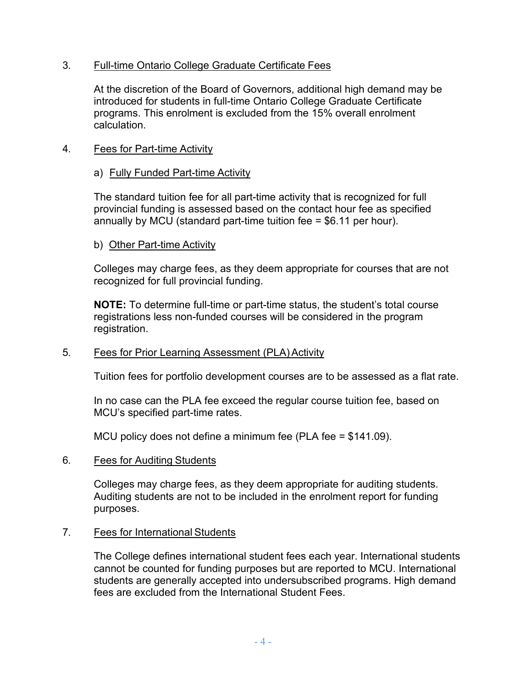#### 3. Full-time Ontario College Graduate Certificate Fees

At the discretion of the Board of Governors, additional high demand may be introduced for students in full-time Ontario College Graduate Certificate programs. This enrolment is excluded from the 15% overall enrolment calculation.

#### 4. Fees for Part-time Activity

#### a) Fully Funded Part-time Activity

The standard tuition fee for all part-time activity that is recognized for full provincial funding is assessed based on the contact hour fee as specified annually by MCU (standard part-time tuition fee = \$6.11 per hour).

#### b) Other Part-time Activity

Colleges may charge fees, as they deem appropriate for courses that are not recognized for full provincial funding.

**NOTE:** To determine full-time or part-time status, the student's total course registrations less non-funded courses will be considered in the program registration.

#### 5. Fees for Prior Learning Assessment (PLA) Activity

Tuition fees for portfolio development courses are to be assessed as a flat rate.

In no case can the PLA fee exceed the regular course tuition fee, based on MCU's specified part-time rates.

MCU policy does not define a minimum fee (PLA fee = \$141.09).

#### 6. Fees for Auditing Students

Colleges may charge fees, as they deem appropriate for auditing students. Auditing students are not to be included in the enrolment report for funding purposes.

#### 7. Fees for International Students

The College defines international student fees each year. International students cannot be counted for funding purposes but are reported to MCU. International students are generally accepted into undersubscribed programs. High demand fees are excluded from the International Student Fees.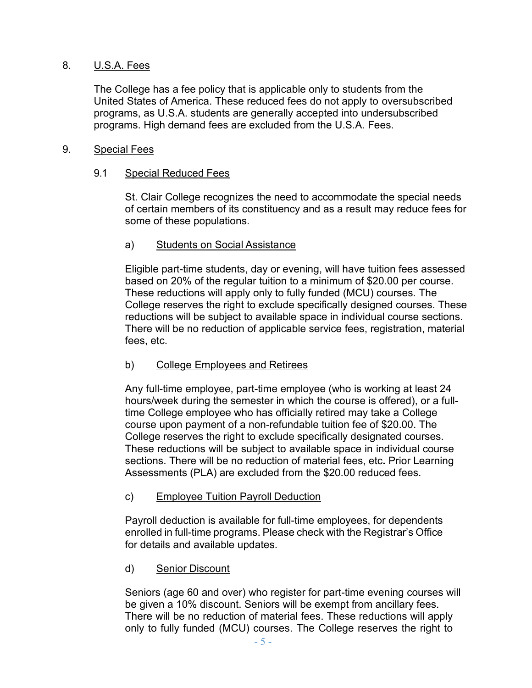#### 8. U.S.A. Fees

The College has a fee policy that is applicable only to students from the United States of America. These reduced fees do not apply to oversubscribed programs, as U.S.A. students are generally accepted into undersubscribed programs. High demand fees are excluded from the U.S.A. Fees.

#### 9. Special Fees

#### 9.1 Special Reduced Fees

St. Clair College recognizes the need to accommodate the special needs of certain members of its constituency and as a result may reduce fees for some of these populations.

#### a) Students on Social Assistance

Eligible part-time students, day or evening, will have tuition fees assessed based on 20% of the regular tuition to a minimum of \$20.00 per course. These reductions will apply only to fully funded (MCU) courses. The College reserves the right to exclude specifically designed courses. These reductions will be subject to available space in individual course sections. There will be no reduction of applicable service fees, registration, material fees, etc.

#### b) College Employees and Retirees

Any full-time employee, part-time employee (who is working at least 24 hours/week during the semester in which the course is offered), or a fulltime College employee who has officially retired may take a College course upon payment of a non-refundable tuition fee of \$20.00. The College reserves the right to exclude specifically designated courses. These reductions will be subject to available space in individual course sections. There will be no reduction of material fees, etc**.** Prior Learning Assessments (PLA) are excluded from the \$20.00 reduced fees.

#### c) Employee Tuition Payroll Deduction

Payroll deduction is available for full-time employees, for dependents enrolled in full-time programs. Please check with the Registrar's Office for details and available updates.

#### d) Senior Discount

Seniors (age 60 and over) who register for part-time evening courses will be given a 10% discount. Seniors will be exempt from ancillary fees. There will be no reduction of material fees. These reductions will apply only to fully funded (MCU) courses. The College reserves the right to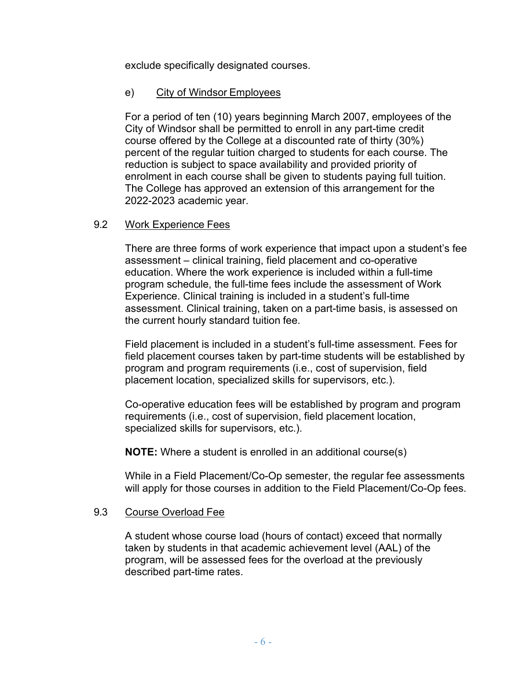exclude specifically designated courses.

#### e) City of Windsor Employees

For a period of ten (10) years beginning March 2007, employees of the City of Windsor shall be permitted to enroll in any part-time credit course offered by the College at a discounted rate of thirty (30%) percent of the regular tuition charged to students for each course. The reduction is subject to space availability and provided priority of enrolment in each course shall be given to students paying full tuition. The College has approved an extension of this arrangement for the 2022-2023 academic year.

#### 9.2 Work Experience Fees

There are three forms of work experience that impact upon a student's fee assessment – clinical training, field placement and co-operative education. Where the work experience is included within a full-time program schedule, the full-time fees include the assessment of Work Experience. Clinical training is included in a student's full-time assessment. Clinical training, taken on a part-time basis, is assessed on the current hourly standard tuition fee.

Field placement is included in a student's full-time assessment. Fees for field placement courses taken by part-time students will be established by program and program requirements (i.e., cost of supervision, field placement location, specialized skills for supervisors, etc.).

Co-operative education fees will be established by program and program requirements (i.e., cost of supervision, field placement location, specialized skills for supervisors, etc.).

**NOTE:** Where a student is enrolled in an additional course(s)

While in a Field Placement/Co-Op semester, the regular fee assessments will apply for those courses in addition to the Field Placement/Co-Op fees.

#### 9.3 Course Overload Fee

A student whose course load (hours of contact) exceed that normally taken by students in that academic achievement level (AAL) of the program, will be assessed fees for the overload at the previously described part-time rates.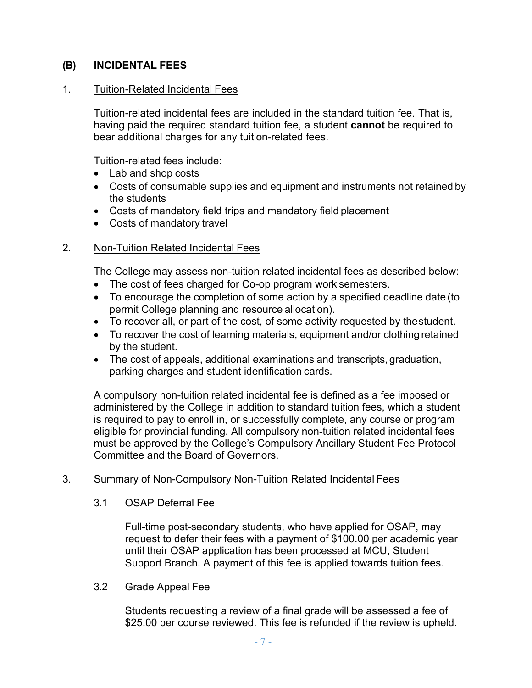#### **(B) INCIDENTAL FEES**

#### 1. Tuition-Related Incidental Fees

Tuition-related incidental fees are included in the standard tuition fee. That is, having paid the required standard tuition fee, a student **cannot** be required to bear additional charges for any tuition-related fees.

Tuition-related fees include:

- Lab and shop costs
- Costs of consumable supplies and equipment and instruments not retained by the students
- Costs of mandatory field trips and mandatory field placement
- Costs of mandatory travel

#### 2. Non-Tuition Related Incidental Fees

The College may assess non-tuition related incidental fees as described below:

- The cost of fees charged for Co-op program work semesters.
- To encourage the completion of some action by a specified deadline date (to permit College planning and resource allocation).
- To recover all, or part of the cost, of some activity requested by thestudent.
- To recover the cost of learning materials, equipment and/or clothing retained by the student.
- The cost of appeals, additional examinations and transcripts, graduation, parking charges and student identification cards.

A compulsory non-tuition related incidental fee is defined as a fee imposed or administered by the College in addition to standard tuition fees, which a student is required to pay to enroll in, or successfully complete, any course or program eligible for provincial funding. All compulsory non-tuition related incidental fees must be approved by the College's Compulsory Ancillary Student Fee Protocol Committee and the Board of Governors.

#### 3. Summary of Non-Compulsory Non-Tuition Related Incidental Fees

#### 3.1 OSAP Deferral Fee

Full-time post-secondary students, who have applied for OSAP, may request to defer their fees with a payment of \$100.00 per academic year until their OSAP application has been processed at MCU, Student Support Branch. A payment of this fee is applied towards tuition fees.

#### 3.2 Grade Appeal Fee

Students requesting a review of a final grade will be assessed a fee of \$25.00 per course reviewed. This fee is refunded if the review is upheld.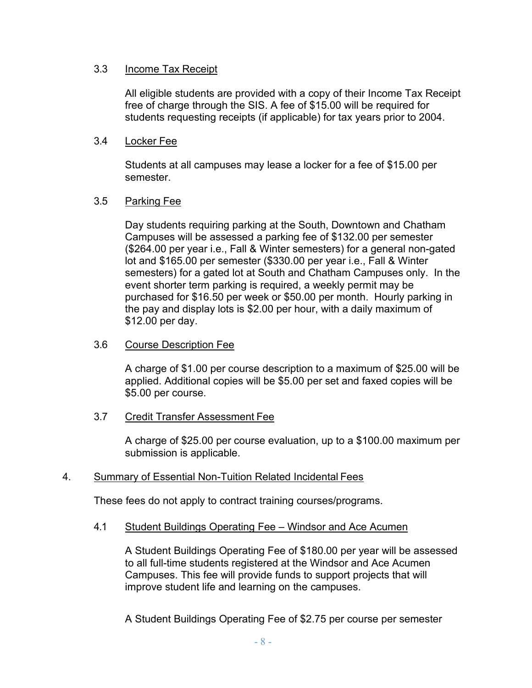#### 3.3 Income Tax Receipt

All eligible students are provided with a copy of their Income Tax Receipt free of charge through the SIS. A fee of \$15.00 will be required for students requesting receipts (if applicable) for tax years prior to 2004.

#### 3.4 Locker Fee

Students at all campuses may lease a locker for a fee of \$15.00 per semester.

#### 3.5 Parking Fee

Day students requiring parking at the South, Downtown and Chatham Campuses will be assessed a parking fee of \$132.00 per semester (\$264.00 per year i.e., Fall & Winter semesters) for a general non-gated lot and \$165.00 per semester (\$330.00 per year i.e., Fall & Winter semesters) for a gated lot at South and Chatham Campuses only. In the event shorter term parking is required, a weekly permit may be purchased for \$16.50 per week or \$50.00 per month. Hourly parking in the pay and display lots is \$2.00 per hour, with a daily maximum of \$12.00 per day.

#### 3.6 Course Description Fee

A charge of \$1.00 per course description to a maximum of \$25.00 will be applied. Additional copies will be \$5.00 per set and faxed copies will be \$5.00 per course.

#### 3.7 Credit Transfer Assessment Fee

A charge of \$25.00 per course evaluation, up to a \$100.00 maximum per submission is applicable.

#### 4. Summary of Essential Non-Tuition Related Incidental Fees

These fees do not apply to contract training courses/programs.

#### 4.1 Student Buildings Operating Fee – Windsor and Ace Acumen

A Student Buildings Operating Fee of \$180.00 per year will be assessed to all full-time students registered at the Windsor and Ace Acumen Campuses. This fee will provide funds to support projects that will improve student life and learning on the campuses.

A Student Buildings Operating Fee of \$2.75 per course per semester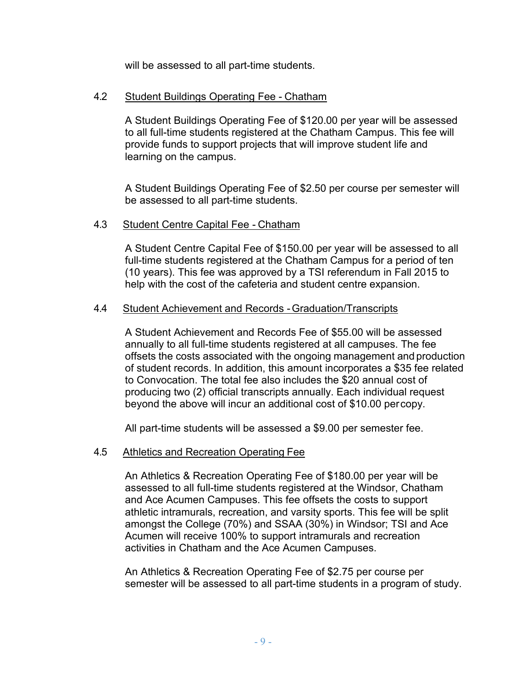will be assessed to all part-time students.

#### 4.2 Student Buildings Operating Fee - Chatham

A Student Buildings Operating Fee of \$120.00 per year will be assessed to all full-time students registered at the Chatham Campus. This fee will provide funds to support projects that will improve student life and learning on the campus.

A Student Buildings Operating Fee of \$2.50 per course per semester will be assessed to all part-time students.

#### 4.3 Student Centre Capital Fee - Chatham

A Student Centre Capital Fee of \$150.00 per year will be assessed to all full-time students registered at the Chatham Campus for a period of ten (10 years). This fee was approved by a TSI referendum in Fall 2015 to help with the cost of the cafeteria and student centre expansion.

#### 4.4 Student Achievement and Records -Graduation/Transcripts

A Student Achievement and Records Fee of \$55.00 will be assessed annually to all full-time students registered at all campuses. The fee offsets the costs associated with the ongoing management and production of student records. In addition, this amount incorporates a \$35 fee related to Convocation. The total fee also includes the \$20 annual cost of producing two (2) official transcripts annually. Each individual request beyond the above will incur an additional cost of \$10.00 percopy.

All part-time students will be assessed a \$9.00 per semester fee.

#### 4.5 Athletics and Recreation Operating Fee

An Athletics & Recreation Operating Fee of \$180.00 per year will be assessed to all full-time students registered at the Windsor, Chatham and Ace Acumen Campuses. This fee offsets the costs to support athletic intramurals, recreation, and varsity sports. This fee will be split amongst the College (70%) and SSAA (30%) in Windsor; TSI and Ace Acumen will receive 100% to support intramurals and recreation activities in Chatham and the Ace Acumen Campuses.

An Athletics & Recreation Operating Fee of \$2.75 per course per semester will be assessed to all part-time students in a program of study.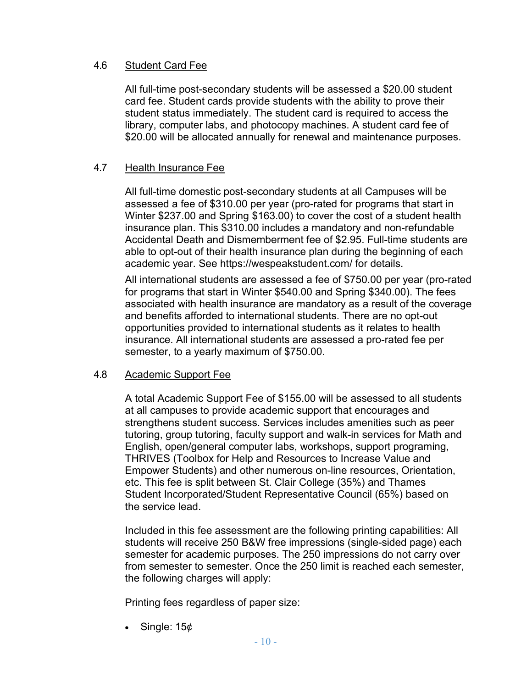#### 4.6 Student Card Fee

All full-time post-secondary students will be assessed a \$20.00 student card fee. Student cards provide students with the ability to prove their student status immediately. The student card is required to access the library, computer labs, and photocopy machines. A student card fee of \$20.00 will be allocated annually for renewal and maintenance purposes.

#### 4.7 Health Insurance Fee

All full-time domestic post-secondary students at all Campuses will be assessed a fee of \$310.00 per year (pro-rated for programs that start in Winter \$237.00 and Spring \$163.00) to cover the cost of a student health insurance plan. This \$310.00 includes a mandatory and non-refundable Accidental Death and Dismemberment fee of \$2.95. Full-time students are able to opt-out of their health insurance plan during the beginning of each academic year. See [https://wespeakstudent.com/ f](https://wespeakstudent.com/)or details.

All international students are assessed a fee of \$750.00 per year (pro-rated for programs that start in Winter \$540.00 and Spring \$340.00). The fees associated with health insurance are mandatory as a result of the coverage and benefits afforded to international students. There are no opt-out opportunities provided to international students as it relates to health insurance. All international students are assessed a pro-rated fee per semester, to a yearly maximum of \$750.00.

#### 4.8 Academic Support Fee

A total Academic Support Fee of \$155.00 will be assessed to all students at all campuses to provide academic support that encourages and strengthens student success. Services includes amenities such as peer tutoring, group tutoring, faculty support and walk-in services for Math and English, open/general computer labs, workshops, support programing, THRIVES (Toolbox for Help and Resources to Increase Value and Empower Students) and other numerous on-line resources, Orientation, etc. This fee is split between St. Clair College (35%) and Thames Student Incorporated/Student Representative Council (65%) based on the service lead.

Included in this fee assessment are the following printing capabilities: All students will receive 250 B&W free impressions (single-sided page) each semester for academic purposes. The 250 impressions do not carry over from semester to semester. Once the 250 limit is reached each semester, the following charges will apply:

Printing fees regardless of paper size:

Single: 15¢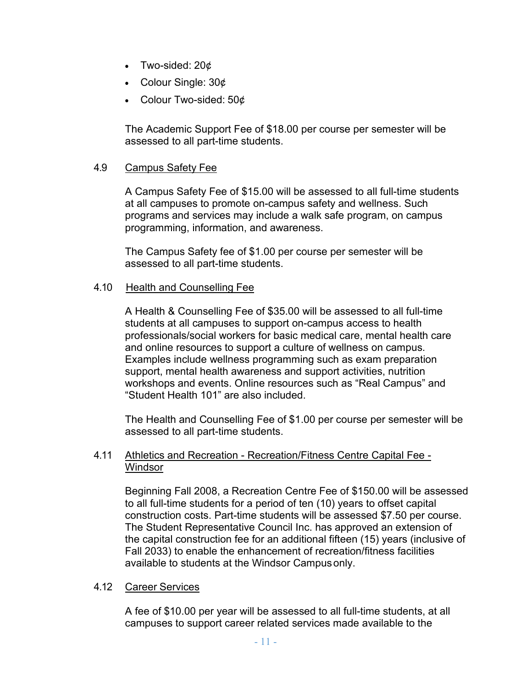- Two-sided:  $20¢$
- Colour Single: 30¢
- Colour Two-sided: 50¢

The Academic Support Fee of \$18.00 per course per semester will be assessed to all part-time students.

#### 4.9 Campus Safety Fee

A Campus Safety Fee of \$15.00 will be assessed to all full-time students at all campuses to promote on-campus safety and wellness. Such programs and services may include a walk safe program, on campus programming, information, and awareness.

The Campus Safety fee of \$1.00 per course per semester will be assessed to all part-time students.

#### 4.10 Health and Counselling Fee

A Health & Counselling Fee of \$35.00 will be assessed to all full-time students at all campuses to support on-campus access to health professionals/social workers for basic medical care, mental health care and online resources to support a culture of wellness on campus. Examples include wellness programming such as exam preparation support, mental health awareness and support activities, nutrition workshops and events. Online resources such as "Real Campus" and "Student Health 101" are also included.

The Health and Counselling Fee of \$1.00 per course per semester will be assessed to all part-time students.

#### 4.11 Athletics and Recreation - Recreation/Fitness Centre Capital Fee - **Windsor**

Beginning Fall 2008, a Recreation Centre Fee of \$150.00 will be assessed to all full-time students for a period of ten (10) years to offset capital construction costs. Part-time students will be assessed \$7.50 per course. The Student Representative Council Inc. has approved an extension of the capital construction fee for an additional fifteen (15) years (inclusive of Fall 2033) to enable the enhancement of recreation/fitness facilities available to students at the Windsor Campusonly.

#### 4.12 Career Services

A fee of \$10.00 per year will be assessed to all full-time students, at all campuses to support career related services made available to the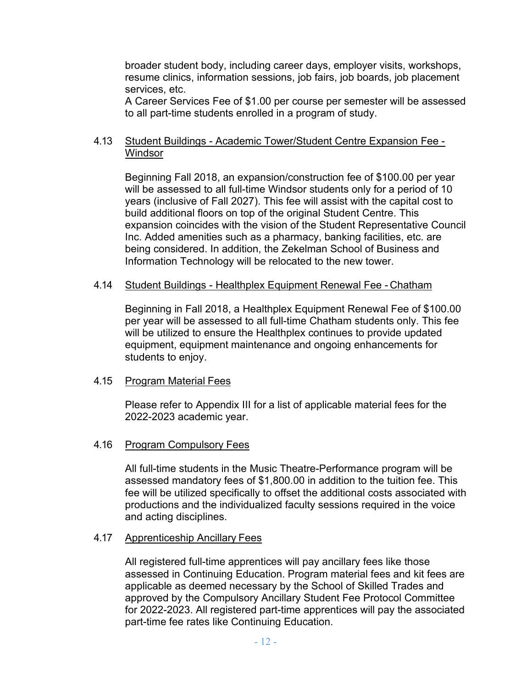broader student body, including career days, employer visits, workshops, resume clinics, information sessions, job fairs, job boards, job placement services, etc.

A Career Services Fee of \$1.00 per course per semester will be assessed to all part-time students enrolled in a program of study.

#### 4.13 Student Buildings - Academic Tower/Student Centre Expansion Fee - **Windsor**

Beginning Fall 2018, an expansion/construction fee of \$100.00 per year will be assessed to all full-time Windsor students only for a period of 10 years (inclusive of Fall 2027). This fee will assist with the capital cost to build additional floors on top of the original Student Centre. This expansion coincides with the vision of the Student Representative Council Inc. Added amenities such as a pharmacy, banking facilities, etc. are being considered. In addition, the Zekelman School of Business and Information Technology will be relocated to the new tower.

#### 4.14 Student Buildings - Healthplex Equipment Renewal Fee - Chatham

Beginning in Fall 2018, a Healthplex Equipment Renewal Fee of \$100.00 per year will be assessed to all full-time Chatham students only. This fee will be utilized to ensure the Healthplex continues to provide updated equipment, equipment maintenance and ongoing enhancements for students to enjoy.

#### 4.15 Program Material Fees

Please refer to Appendix III for a list of applicable material fees for the 2022-2023 academic year.

#### 4.16 Program Compulsory Fees

All full-time students in the Music Theatre-Performance program will be assessed mandatory fees of \$1,800.00 in addition to the tuition fee. This fee will be utilized specifically to offset the additional costs associated with productions and the individualized faculty sessions required in the voice and acting disciplines.

#### 4.17 Apprenticeship Ancillary Fees

All registered full-time apprentices will pay ancillary fees like those assessed in Continuing Education. Program material fees and kit fees are applicable as deemed necessary by the School of Skilled Trades and approved by the Compulsory Ancillary Student Fee Protocol Committee for 2022-2023. All registered part-time apprentices will pay the associated part-time fee rates like Continuing Education.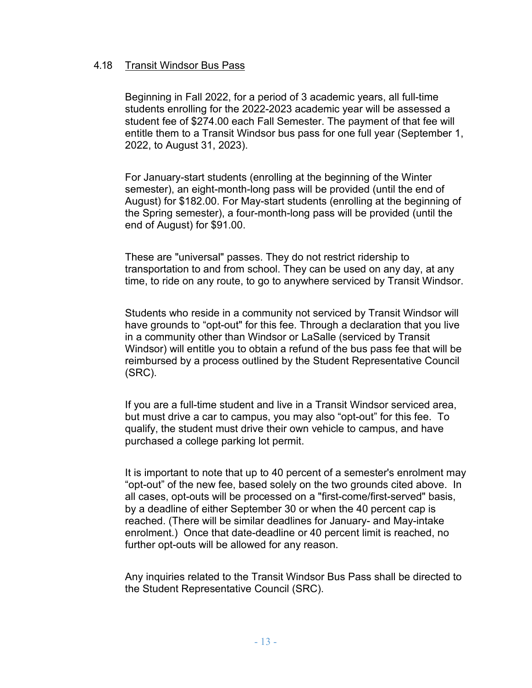#### 4.18 Transit Windsor Bus Pass

Beginning in Fall 2022, for a period of 3 academic years, all full-time students enrolling for the 2022-2023 academic year will be assessed a student fee of \$274.00 each Fall Semester. The payment of that fee will entitle them to a Transit Windsor bus pass for one full year (September 1, 2022, to August 31, 2023).

For January-start students (enrolling at the beginning of the Winter semester), an eight-month-long pass will be provided (until the end of August) for \$182.00. For May-start students (enrolling at the beginning of the Spring semester), a four-month-long pass will be provided (until the end of August) for \$91.00.

These are "universal" passes. They do not restrict ridership to transportation to and from school. They can be used on any day, at any time, to ride on any route, to go to anywhere serviced by Transit Windsor.

Students who reside in a community not serviced by Transit Windsor will have grounds to "opt-out" for this fee. Through a declaration that you live in a community other than Windsor or LaSalle (serviced by Transit Windsor) will entitle you to obtain a refund of the bus pass fee that will be reimbursed by a process outlined by the Student Representative Council (SRC).

If you are a full-time student and live in a Transit Windsor serviced area, but must drive a car to campus, you may also "opt-out" for this fee. To qualify, the student must drive their own vehicle to campus, and have purchased a college parking lot permit.

It is important to note that up to 40 percent of a semester's enrolment may "opt-out" of the new fee, based solely on the two grounds cited above. In all cases, opt-outs will be processed on a "first-come/first-served" basis, by a deadline of either September 30 or when the 40 percent cap is reached. (There will be similar deadlines for January- and May-intake enrolment.) Once that date-deadline or 40 percent limit is reached, no further opt-outs will be allowed for any reason.

Any inquiries related to the Transit Windsor Bus Pass shall be directed to the Student Representative Council (SRC).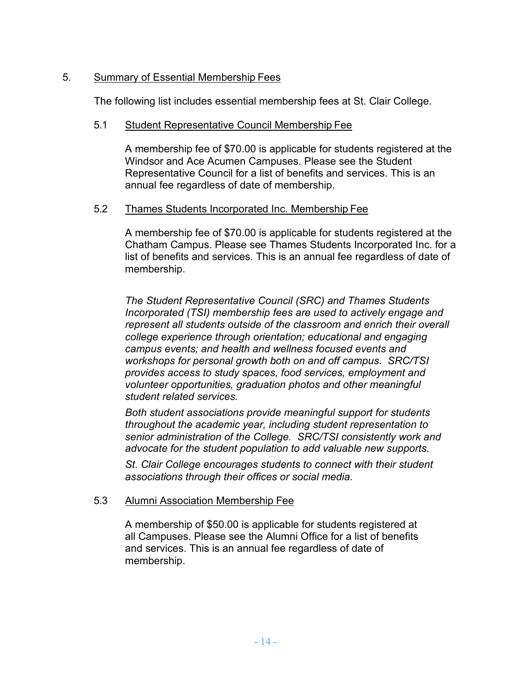#### 5. Summary of Essential Membership Fees

The following list includes essential membership fees at St. Clair College.

#### 5.1 Student Representative Council Membership Fee

A membership fee of \$70.00 is applicable for students registered at the Windsor and Ace Acumen Campuses. Please see the Student Representative Council for a list of benefits and services. This is an annual fee regardless of date of membership.

#### 5.2 Thames Students Incorporated Inc. Membership Fee

A membership fee of \$70.00 is applicable for students registered at the Chatham Campus. Please see Thames Students Incorporated Inc. for a list of benefits and services. This is an annual fee regardless of date of membership.

*The Student Representative Council (SRC) and Thames Students Incorporated (TSI) membership fees are used to actively engage and represent all students outside of the classroom and enrich their overall college experience through orientation; educational and engaging campus events; and health and wellness focused events and workshops for personal growth both on and off campus. SRC/TSI provides access to study spaces, food services, employment and volunteer opportunities, graduation photos and other meaningful student related services.* 

*Both student associations provide meaningful support for students throughout the academic year, including student representation to senior administration of the College. SRC/TSI consistently work and advocate for the student population to add valuable new supports.* 

*St. Clair College encourages students to connect with their student associations through their offices or social media.*

#### 5.3 Alumni Association Membership Fee

A membership of \$50.00 is applicable for students registered at all Campuses. Please see the Alumni Office for a list of benefits and services. This is an annual fee regardless of date of membership.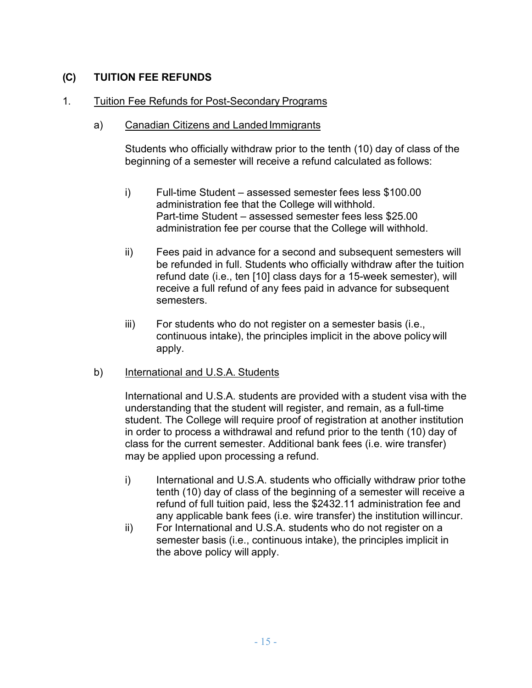#### **(C) TUITION FEE REFUNDS**

#### 1. Tuition Fee Refunds for Post-Secondary Programs

#### a) Canadian Citizens and Landed Immigrants

Students who officially withdraw prior to the tenth (10) day of class of the beginning of a semester will receive a refund calculated as follows:

- i) Full-time Student assessed semester fees less \$100.00 administration fee that the College will withhold. Part-time Student – assessed semester fees less \$25.00 administration fee per course that the College will withhold.
- ii) Fees paid in advance for a second and subsequent semesters will be refunded in full. Students who officially withdraw after the tuition refund date (i.e., ten [10] class days for a 15-week semester), will receive a full refund of any fees paid in advance for subsequent semesters.
- iii) For students who do not register on a semester basis (i.e., continuous intake), the principles implicit in the above policy will apply.
- b) International and U.S.A. Students

International and U.S.A. students are provided with a student visa with the understanding that the student will register, and remain, as a full-time student. The College will require proof of registration at another institution in order to process a withdrawal and refund prior to the tenth (10) day of class for the current semester. Additional bank fees (i.e. wire transfer) may be applied upon processing a refund.

- i) International and U.S.A. students who officially withdraw prior tothe tenth (10) day of class of the beginning of a semester will receive a refund of full tuition paid, less the \$2432.11 administration fee and any applicable bank fees (i.e. wire transfer) the institution willincur.
- ii) For International and U.S.A. students who do not register on a semester basis (i.e., continuous intake), the principles implicit in the above policy will apply.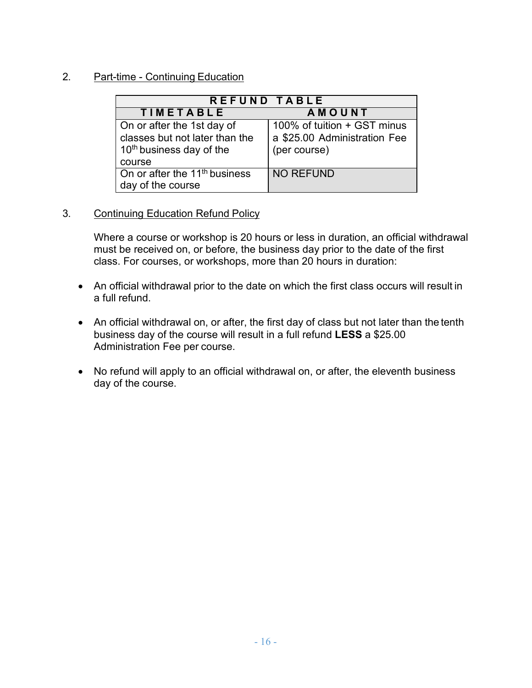#### 2. Part-time - Continuing Education

| REFUND TABLE                                                   |                                                             |
|----------------------------------------------------------------|-------------------------------------------------------------|
| <b>TIMETABLE</b>                                               | <b>AMOUNT</b>                                               |
| On or after the 1st day of<br>classes but not later than the   | 100% of tuition + GST minus<br>a \$25.00 Administration Fee |
| 10 <sup>th</sup> business day of the<br>course                 | (per course)                                                |
| On or after the 11 <sup>th</sup> business<br>day of the course | <b>NO REFUND</b>                                            |

#### 3. Continuing Education Refund Policy

Where a course or workshop is 20 hours or less in duration, an official withdrawal must be received on, or before, the business day prior to the date of the first class. For courses, or workshops, more than 20 hours in duration:

- An official withdrawal prior to the date on which the first class occurs will result in a full refund.
- An official withdrawal on, or after, the first day of class but not later than the tenth business day of the course will result in a full refund **LESS** a \$25.00 Administration Fee per course.
- No refund will apply to an official withdrawal on, or after, the eleventh business day of the course.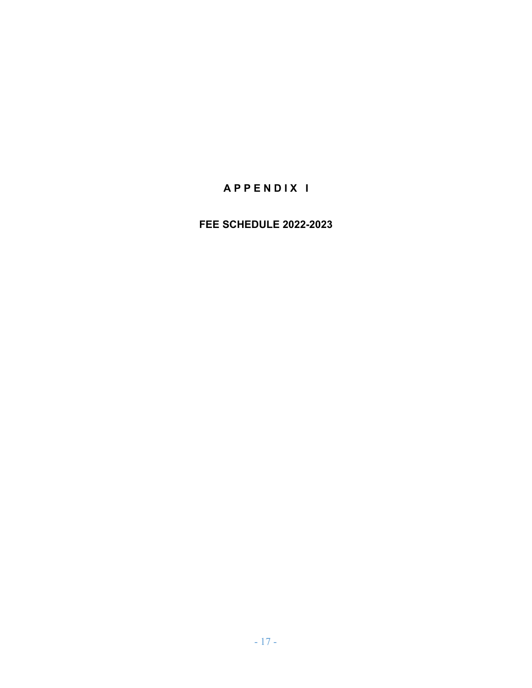# **A P P E N D I X I**

### **FEE SCHEDULE 2022-2023**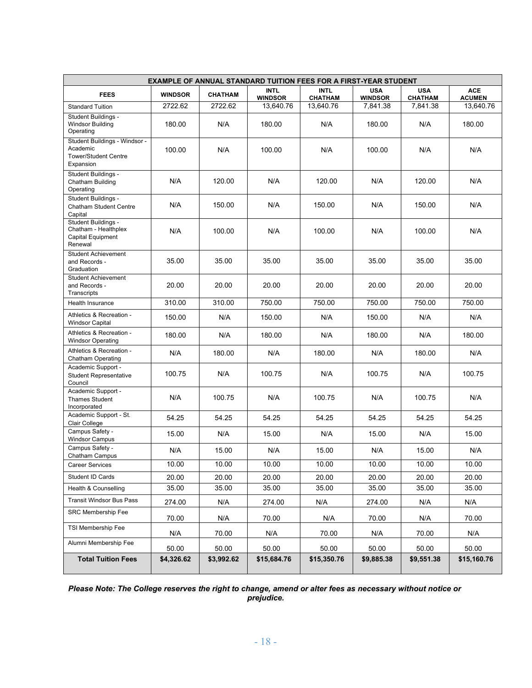| <b>EXAMPLE OF ANNUAL STANDARD TUITION FEES FOR A FIRST-YEAR STUDENT</b>               |                |                |                               |                               |                              |                              |                             |
|---------------------------------------------------------------------------------------|----------------|----------------|-------------------------------|-------------------------------|------------------------------|------------------------------|-----------------------------|
| <b>FEES</b>                                                                           | <b>WINDSOR</b> | <b>CHATHAM</b> | <b>INTL</b><br><b>WINDSOR</b> | <b>INTL</b><br><b>CHATHAM</b> | <b>USA</b><br><b>WINDSOR</b> | <b>USA</b><br><b>CHATHAM</b> | <b>ACE</b><br><b>ACUMEN</b> |
| <b>Standard Tuition</b>                                                               | 2722.62        | 2722.62        | 13,640.76                     | 13,640.76                     | 7,841.38                     | 7,841.38                     | 13,640.76                   |
| Student Buildings -<br><b>Windsor Building</b><br>Operating                           | 180.00         | N/A            | 180.00                        | N/A                           | 180.00                       | N/A                          | 180.00                      |
| Student Buildings - Windsor -<br>Academic<br><b>Tower/Student Centre</b><br>Expansion | 100.00         | N/A            | 100.00                        | N/A                           | 100.00                       | N/A                          | N/A                         |
| Student Buildings -<br>Chatham Building<br>Operating                                  | N/A            | 120.00         | N/A                           | 120.00                        | N/A                          | 120.00                       | N/A                         |
| Student Buildings -<br><b>Chatham Student Centre</b><br>Capital                       | N/A            | 150.00         | N/A                           | 150.00                        | N/A                          | 150.00                       | N/A                         |
| Student Buildings -<br>Chatham - Healthplex<br>Capital Equipment<br>Renewal           | N/A            | 100.00         | N/A                           | 100.00                        | N/A                          | 100.00                       | N/A                         |
| <b>Student Achievement</b><br>and Records -<br>Graduation                             | 35.00          | 35.00          | 35.00                         | 35.00                         | 35.00                        | 35.00                        | 35.00                       |
| <b>Student Achievement</b><br>and Records -<br>Transcripts                            | 20.00          | 20.00          | 20.00                         | 20.00                         | 20.00                        | 20.00                        | 20.00                       |
| <b>Health Insurance</b>                                                               | 310.00         | 310.00         | 750.00                        | 750.00                        | 750.00                       | 750.00                       | 750.00                      |
| Athletics & Recreation -<br><b>Windsor Capital</b>                                    | 150.00         | N/A            | 150.00                        | N/A                           | 150.00                       | N/A                          | N/A                         |
| Athletics & Recreation -<br><b>Windsor Operating</b>                                  | 180.00         | N/A            | 180.00                        | N/A                           | 180.00                       | N/A                          | 180.00                      |
| Athletics & Recreation -<br><b>Chatham Operating</b>                                  | N/A            | 180.00         | N/A                           | 180.00                        | N/A                          | 180.00                       | N/A                         |
| Academic Support -<br><b>Student Representative</b><br>Council                        | 100.75         | N/A            | 100.75                        | N/A                           | 100.75                       | N/A                          | 100.75                      |
| Academic Support -<br><b>Thames Student</b><br>Incorporated                           | N/A            | 100.75         | N/A                           | 100.75                        | N/A                          | 100.75                       | N/A                         |
| Academic Support - St.<br>Clair College                                               | 54.25          | 54.25          | 54.25                         | 54.25                         | 54.25                        | 54.25                        | 54.25                       |
| Campus Safety -<br><b>Windsor Campus</b>                                              | 15.00          | N/A            | 15.00                         | N/A                           | 15.00                        | N/A                          | 15.00                       |
| Campus Safety -<br>Chatham Campus                                                     | N/A            | 15.00          | N/A                           | 15.00                         | N/A                          | 15.00                        | N/A                         |
| Career Services                                                                       | 10.00          | 10.00          | 10.00                         | 10.00                         | 10.00                        | 10.00                        | 10.00                       |
| Student ID Cards                                                                      | 20.00          | 20.00          | 20.00                         | 20.00                         | 20.00                        | 20.00                        | 20.00                       |
| Health & Counselling                                                                  | 35.00          | 35.00          | 35.00                         | 35.00                         | 35.00                        | 35.00                        | 35.00                       |
| <b>Transit Windsor Bus Pass</b>                                                       | 274.00         | N/A            | 274.00                        | N/A                           | 274.00                       | N/A                          | N/A                         |
| <b>SRC Membership Fee</b>                                                             | 70.00          | N/A            | 70.00                         | N/A                           | 70.00                        | N/A                          | 70.00                       |
| <b>TSI Membership Fee</b>                                                             | N/A            | 70.00          | N/A                           | 70.00                         | N/A                          | 70.00                        | N/A                         |
| Alumni Membership Fee                                                                 | 50.00          | 50.00          | 50.00                         | 50.00                         | 50.00                        | 50.00                        | 50.00                       |
| <b>Total Tuition Fees</b>                                                             | \$4,326.62     | \$3,992.62     | \$15,684.76                   | \$15,350.76                   | \$9,885.38                   | \$9,551.38                   | \$15,160.76                 |

#### *Please Note: The College reserves the right to change, amend or alter fees as necessary without notice or prejudice.*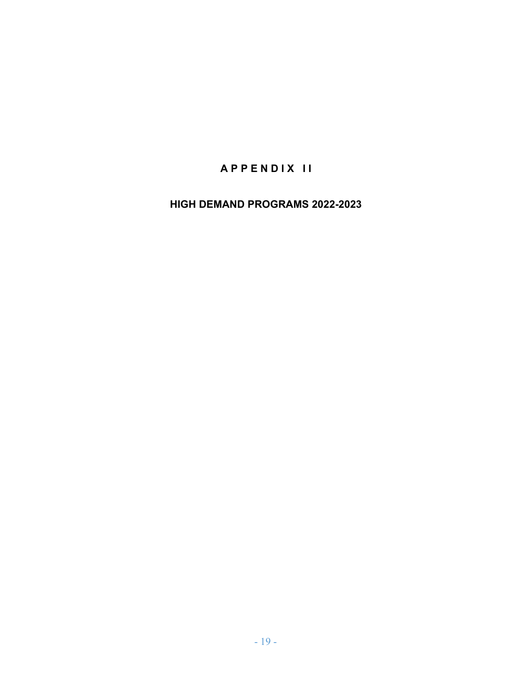# **A P P E N D I X I I**

**HIGH DEMAND PROGRAMS 2022-2023**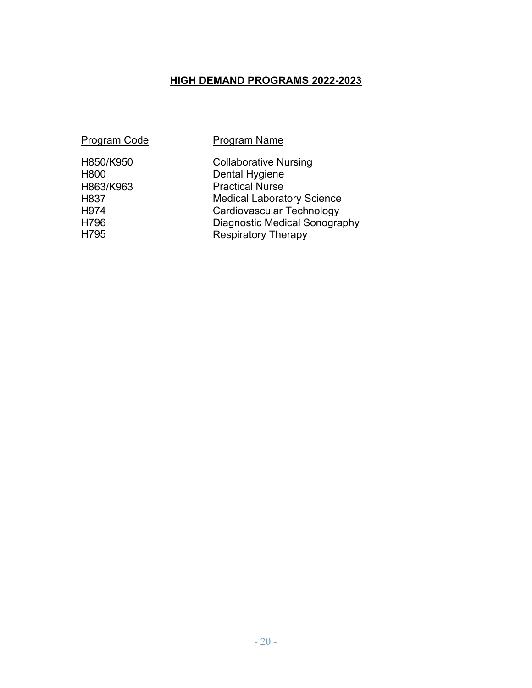# **HIGH DEMAND PROGRAMS 2022-2023**

#### Program Code Program Name

H863/K963 H837 H974 H796 H795

H850/K950 Collaborative Nursing<br>
H800 Dental Hygiene Dental Hygiene Practical Nurse Medical Laboratory Science Cardiovascular Technology Diagnostic Medical Sonography Respiratory Therapy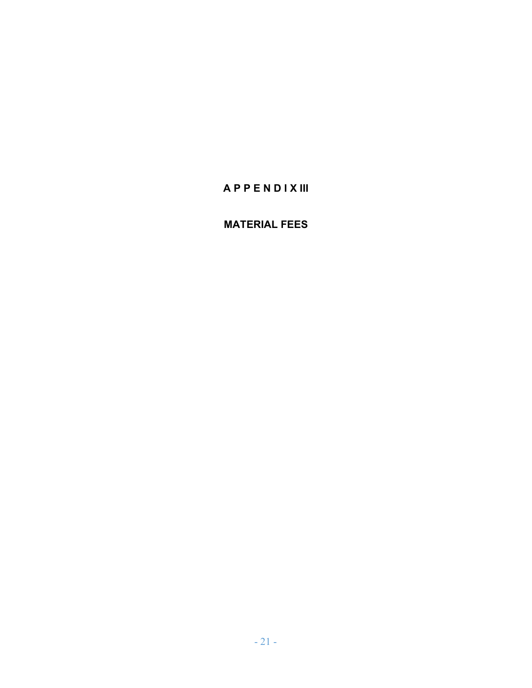# **A P P E N D I X III**

### **MATERIAL FEES**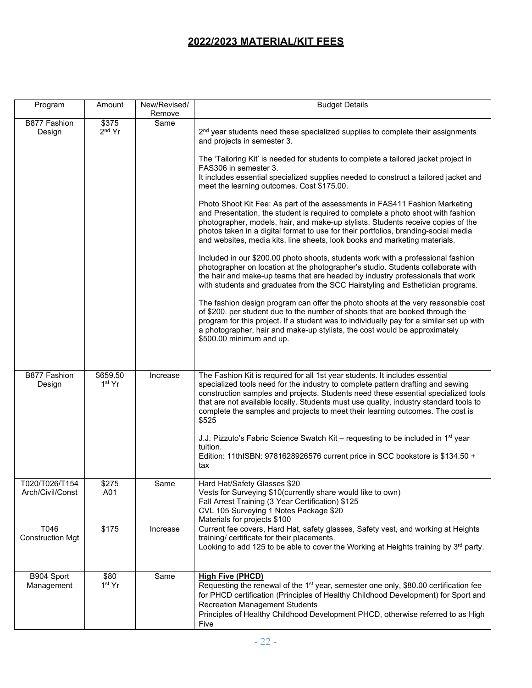### **2022/2023 MATERIAL/KIT FEES**

| Program                            | Amount                         | New/Revised/<br>Remove | <b>Budget Details</b>                                                                                                                                                                                                                                                                                                                                                                                                                                                                                                                                                                                                                                                                                                                                                                                                                                                                                                                                                                                                                                                                                                                                                                                                                                                                                                                                                                                                                                                                                                                |
|------------------------------------|--------------------------------|------------------------|--------------------------------------------------------------------------------------------------------------------------------------------------------------------------------------------------------------------------------------------------------------------------------------------------------------------------------------------------------------------------------------------------------------------------------------------------------------------------------------------------------------------------------------------------------------------------------------------------------------------------------------------------------------------------------------------------------------------------------------------------------------------------------------------------------------------------------------------------------------------------------------------------------------------------------------------------------------------------------------------------------------------------------------------------------------------------------------------------------------------------------------------------------------------------------------------------------------------------------------------------------------------------------------------------------------------------------------------------------------------------------------------------------------------------------------------------------------------------------------------------------------------------------------|
| B877 Fashion<br>Design             | \$375<br>$2nd$ Yr              | Same                   | 2 <sup>nd</sup> year students need these specialized supplies to complete their assignments<br>and projects in semester 3.<br>The 'Tailoring Kit' is needed for students to complete a tailored jacket project in<br>FAS306 in semester 3.<br>It includes essential specialized supplies needed to construct a tailored jacket and<br>meet the learning outcomes. Cost \$175.00.<br>Photo Shoot Kit Fee: As part of the assessments in FAS411 Fashion Marketing<br>and Presentation, the student is required to complete a photo shoot with fashion<br>photographer, models, hair, and make-up stylists. Students receive copies of the<br>photos taken in a digital format to use for their portfolios, branding-social media<br>and websites, media kits, line sheets, look books and marketing materials.<br>Included in our \$200.00 photo shoots, students work with a professional fashion<br>photographer on location at the photographer's studio. Students collaborate with<br>the hair and make-up teams that are headed by industry professionals that work<br>with students and graduates from the SCC Hairstyling and Esthetician programs.<br>The fashion design program can offer the photo shoots at the very reasonable cost<br>of \$200. per student due to the number of shoots that are booked through the<br>program for this project. If a student was to individually pay for a similar set up with<br>a photographer, hair and make-up stylists, the cost would be approximately<br>\$500.00 minimum and up. |
| B877 Fashion<br>Design             | \$659.50<br>1 <sup>st</sup> Yr | Increase               | The Fashion Kit is required for all 1st year students. It includes essential<br>specialized tools need for the industry to complete pattern drafting and sewing<br>construction samples and projects. Students need these essential specialized tools<br>that are not available locally. Students must use quality, industry standard tools to<br>complete the samples and projects to meet their learning outcomes. The cost is<br>\$525<br>J.J. Pizzuto's Fabric Science Swatch Kit - requesting to be included in 1 <sup>st</sup> year<br>tuition.<br>Edition: 11thISBN: 9781628926576 current price in SCC bookstore is \$134.50 +<br>tax                                                                                                                                                                                                                                                                                                                                                                                                                                                                                                                                                                                                                                                                                                                                                                                                                                                                                        |
| T020/T026/T154<br>Arch/Civil/Const | \$275<br>A01                   | Same                   | Hard Hat/Safety Glasses \$20<br>Vests for Surveying \$10(currently share would like to own)<br>Fall Arrest Training (3 Year Certification) \$125<br>CVL 105 Surveying 1 Notes Package \$20<br>Materials for projects \$100                                                                                                                                                                                                                                                                                                                                                                                                                                                                                                                                                                                                                                                                                                                                                                                                                                                                                                                                                                                                                                                                                                                                                                                                                                                                                                           |
| T046<br><b>Construction Mgt</b>    | \$175                          | Increase               | Current fee covers, Hard Hat, safety glasses, Safety vest, and working at Heights<br>training/ certificate for their placements.<br>Looking to add 125 to be able to cover the Working at Heights training by 3rd party.                                                                                                                                                                                                                                                                                                                                                                                                                                                                                                                                                                                                                                                                                                                                                                                                                                                                                                                                                                                                                                                                                                                                                                                                                                                                                                             |
| B904 Sport<br>Management           | \$80<br>1 <sup>st</sup> Yr     | Same                   | <b>High Five (PHCD)</b><br>Requesting the renewal of the 1 <sup>st</sup> year, semester one only, \$80.00 certification fee<br>for PHCD certification (Principles of Healthy Childhood Development) for Sport and<br><b>Recreation Management Students</b><br>Principles of Healthy Childhood Development PHCD, otherwise referred to as High<br>Five                                                                                                                                                                                                                                                                                                                                                                                                                                                                                                                                                                                                                                                                                                                                                                                                                                                                                                                                                                                                                                                                                                                                                                                |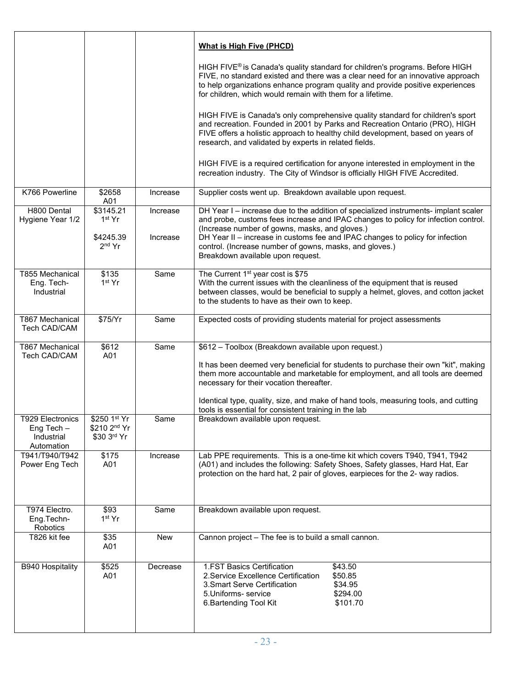|                                                                  |                                                          |                      | <b>What is High Five (PHCD)</b>                                                                                                                                                                                                                                                                                                                                                                              |
|------------------------------------------------------------------|----------------------------------------------------------|----------------------|--------------------------------------------------------------------------------------------------------------------------------------------------------------------------------------------------------------------------------------------------------------------------------------------------------------------------------------------------------------------------------------------------------------|
|                                                                  |                                                          |                      | HIGH FIVE® is Canada's quality standard for children's programs. Before HIGH<br>FIVE, no standard existed and there was a clear need for an innovative approach<br>to help organizations enhance program quality and provide positive experiences<br>for children, which would remain with them for a lifetime.                                                                                              |
|                                                                  |                                                          |                      | HIGH FIVE is Canada's only comprehensive quality standard for children's sport<br>and recreation. Founded in 2001 by Parks and Recreation Ontario (PRO), HIGH<br>FIVE offers a holistic approach to healthy child development, based on years of<br>research, and validated by experts in related fields.                                                                                                    |
|                                                                  |                                                          |                      | HIGH FIVE is a required certification for anyone interested in employment in the<br>recreation industry. The City of Windsor is officially HIGH FIVE Accredited.                                                                                                                                                                                                                                             |
| K766 Powerline                                                   | \$2658<br>A01                                            | Increase             | Supplier costs went up. Breakdown available upon request.                                                                                                                                                                                                                                                                                                                                                    |
| H800 Dental<br>Hygiene Year 1/2                                  | \$3145.21<br>1 <sup>st</sup> Yr<br>\$4245.39<br>$2nd$ Yr | Increase<br>Increase | DH Year I - increase due to the addition of specialized instruments- implant scaler<br>and probe, customs fees increase and IPAC changes to policy for infection control.<br>(Increase number of gowns, masks, and gloves.)<br>DH Year II - increase in customs fee and IPAC changes to policy for infection<br>control. (Increase number of gowns, masks, and gloves.)<br>Breakdown available upon request. |
| <b>T855 Mechanical</b><br>Eng. Tech-<br>Industrial               | \$135<br>1st Yr                                          | Same                 | The Current 1 <sup>st</sup> year cost is \$75<br>With the current issues with the cleanliness of the equipment that is reused<br>between classes, would be beneficial to supply a helmet, gloves, and cotton jacket<br>to the students to have as their own to keep.                                                                                                                                         |
| T867 Mechanical<br>Tech CAD/CAM                                  | \$75/Yr                                                  | Same                 | Expected costs of providing students material for project assessments                                                                                                                                                                                                                                                                                                                                        |
| T867 Mechanical<br>Tech CAD/CAM                                  | \$612<br>A01                                             | Same                 | \$612 - Toolbox (Breakdown available upon request.)<br>It has been deemed very beneficial for students to purchase their own "kit", making<br>them more accountable and marketable for employment, and all tools are deemed<br>necessary for their vocation thereafter.                                                                                                                                      |
|                                                                  |                                                          |                      | Identical type, quality, size, and make of hand tools, measuring tools, and cutting<br>tools is essential for consistent training in the lab                                                                                                                                                                                                                                                                 |
| <b>T929 Electronics</b><br>Eng Tech-<br>Industrial<br>Automation | \$250 1st Yr<br>\$210 2nd Yr<br>\$30 3rd Yr              | Same                 | Breakdown available upon request.                                                                                                                                                                                                                                                                                                                                                                            |
| T941/T940/T942<br>Power Eng Tech                                 | \$175<br>A01                                             | Increase             | Lab PPE requirements. This is a one-time kit which covers T940, T941, T942<br>(A01) and includes the following: Safety Shoes, Safety glasses, Hard Hat, Ear<br>protection on the hard hat, 2 pair of gloves, earpieces for the 2- way radios.                                                                                                                                                                |
| T974 Electro.<br>Eng.Techn-<br>Robotics                          | \$93<br>1st Yr                                           | Same                 | Breakdown available upon request.                                                                                                                                                                                                                                                                                                                                                                            |
| T826 kit fee                                                     | \$35<br>A01                                              | New                  | Cannon project - The fee is to build a small cannon.                                                                                                                                                                                                                                                                                                                                                         |
| <b>B940 Hospitality</b>                                          | \$525<br>A01                                             | Decrease             | 1.FST Basics Certification<br>\$43.50<br>2. Service Excellence Certification<br>\$50.85<br>\$34.95<br>3. Smart Serve Certification<br>5. Uniforms-service<br>\$294.00<br>6. Bartending Tool Kit<br>\$101.70                                                                                                                                                                                                  |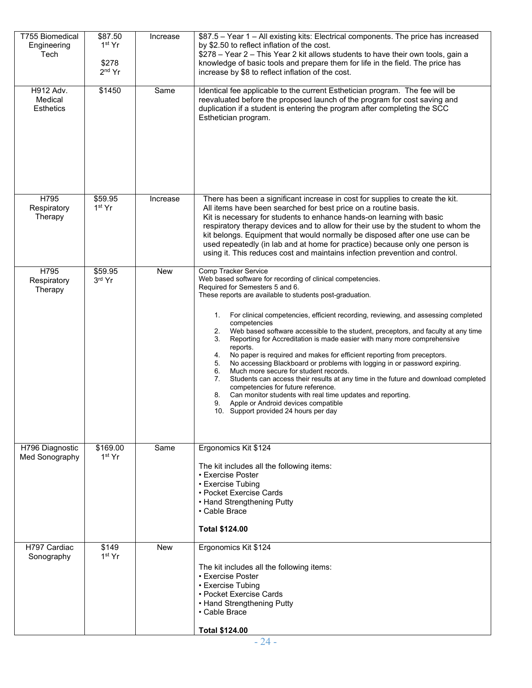| T755 Biomedical<br>Engineering<br>Tech   | \$87.50<br>1 <sup>st</sup> Yr<br>\$278<br>$2nd$ Yr | Increase   | \$87.5 - Year 1 - All existing kits: Electrical components. The price has increased<br>by \$2.50 to reflect inflation of the cost.<br>\$278 - Year 2 - This Year 2 kit allows students to have their own tools, gain a<br>knowledge of basic tools and prepare them for life in the field. The price has<br>increase by \$8 to reflect inflation of the cost.                                                                                                                                                                                                                                                                                                                                                                                                                                                                                                                                                                                                                                        |
|------------------------------------------|----------------------------------------------------|------------|------------------------------------------------------------------------------------------------------------------------------------------------------------------------------------------------------------------------------------------------------------------------------------------------------------------------------------------------------------------------------------------------------------------------------------------------------------------------------------------------------------------------------------------------------------------------------------------------------------------------------------------------------------------------------------------------------------------------------------------------------------------------------------------------------------------------------------------------------------------------------------------------------------------------------------------------------------------------------------------------------|
| H912 Adv.<br>Medical<br><b>Esthetics</b> | \$1450                                             | Same       | Identical fee applicable to the current Esthetician program. The fee will be<br>reevaluated before the proposed launch of the program for cost saving and<br>duplication if a student is entering the program after completing the SCC<br>Esthetician program.                                                                                                                                                                                                                                                                                                                                                                                                                                                                                                                                                                                                                                                                                                                                       |
| H795<br>Respiratory<br>Therapy           | \$59.95<br>1 <sup>st</sup> Yr                      | Increase   | There has been a significant increase in cost for supplies to create the kit.<br>All items have been searched for best price on a routine basis.<br>Kit is necessary for students to enhance hands-on learning with basic<br>respiratory therapy devices and to allow for their use by the student to whom the<br>kit belongs. Equipment that would normally be disposed after one use can be<br>used repeatedly (in lab and at home for practice) because only one person is<br>using it. This reduces cost and maintains infection prevention and control.                                                                                                                                                                                                                                                                                                                                                                                                                                         |
| H795<br>Respiratory<br>Therapy           | \$59.95<br>3rd Yr                                  | <b>New</b> | Comp Tracker Service<br>Web based software for recording of clinical competencies.<br>Required for Semesters 5 and 6.<br>These reports are available to students post-graduation.<br>For clinical competencies, efficient recording, reviewing, and assessing completed<br>1.<br>competencies<br>Web based software accessible to the student, preceptors, and faculty at any time<br>2.<br>Reporting for Accreditation is made easier with many more comprehensive<br>3.<br>reports.<br>No paper is required and makes for efficient reporting from preceptors.<br>4.<br>No accessing Blackboard or problems with logging in or password expiring.<br>5.<br>Much more secure for student records.<br>6.<br>Students can access their results at any time in the future and download completed<br>7.<br>competencies for future reference.<br>Can monitor students with real time updates and reporting.<br>8.<br>9.<br>Apple or Android devices compatible<br>10. Support provided 24 hours per day |
| H796 Diagnostic<br>Med Sonography        | \$169.00<br>1 <sup>st</sup> Yr                     | Same       | Ergonomics Kit \$124<br>The kit includes all the following items:<br>• Exercise Poster<br>• Exercise Tubing<br>• Pocket Exercise Cards<br>• Hand Strengthening Putty<br>• Cable Brace<br><b>Total \$124.00</b>                                                                                                                                                                                                                                                                                                                                                                                                                                                                                                                                                                                                                                                                                                                                                                                       |
| H797 Cardiac<br>Sonography               | \$149<br>1 <sup>st</sup> Yr                        | <b>New</b> | Ergonomics Kit \$124<br>The kit includes all the following items:<br>• Exercise Poster<br>• Exercise Tubing<br>• Pocket Exercise Cards<br>• Hand Strengthening Putty<br>• Cable Brace<br><b>Total \$124.00</b>                                                                                                                                                                                                                                                                                                                                                                                                                                                                                                                                                                                                                                                                                                                                                                                       |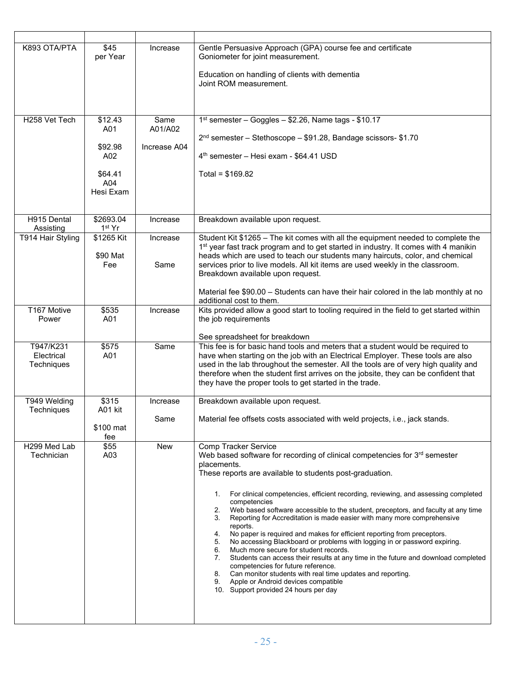| K893 OTA/PTA                          | \$45<br>per Year                          | Increase                        | Gentle Persuasive Approach (GPA) course fee and certificate<br>Goniometer for joint measurement.<br>Education on handling of clients with dementia<br>Joint ROM measurement.                                                                                                                                                                                                                                                                                                                                                                                                                                                                                                                                                                                                                                                                                                                                                                                                                                     |
|---------------------------------------|-------------------------------------------|---------------------------------|------------------------------------------------------------------------------------------------------------------------------------------------------------------------------------------------------------------------------------------------------------------------------------------------------------------------------------------------------------------------------------------------------------------------------------------------------------------------------------------------------------------------------------------------------------------------------------------------------------------------------------------------------------------------------------------------------------------------------------------------------------------------------------------------------------------------------------------------------------------------------------------------------------------------------------------------------------------------------------------------------------------|
|                                       |                                           |                                 |                                                                                                                                                                                                                                                                                                                                                                                                                                                                                                                                                                                                                                                                                                                                                                                                                                                                                                                                                                                                                  |
| H258 Vet Tech                         | \$12.43<br>A01<br>\$92.98<br>A02          | Same<br>A01/A02<br>Increase A04 | 1 <sup>st</sup> semester - Goggles - \$2.26, Name tags - \$10.17<br>2 <sup>nd</sup> semester - Stethoscope - \$91.28, Bandage scissors- \$1.70<br>4 <sup>th</sup> semester - Hesi exam - \$64.41 USD                                                                                                                                                                                                                                                                                                                                                                                                                                                                                                                                                                                                                                                                                                                                                                                                             |
|                                       | \$64.41<br>A04<br>Hesi Exam               |                                 | Total = $$169.82$                                                                                                                                                                                                                                                                                                                                                                                                                                                                                                                                                                                                                                                                                                                                                                                                                                                                                                                                                                                                |
| H915 Dental<br>Assisting              | \$2693.04<br>1 <sup>st</sup> Yr           | Increase                        | Breakdown available upon request.                                                                                                                                                                                                                                                                                                                                                                                                                                                                                                                                                                                                                                                                                                                                                                                                                                                                                                                                                                                |
| T914 Hair Styling                     | $\overline{$}1265$ Kit<br>\$90 Mat<br>Fee | Increase<br>Same                | Student Kit \$1265 - The kit comes with all the equipment needed to complete the<br>1 <sup>st</sup> year fast track program and to get started in industry. It comes with 4 manikin<br>heads which are used to teach our students many haircuts, color, and chemical<br>services prior to live models. All kit items are used weekly in the classroom.<br>Breakdown available upon request.                                                                                                                                                                                                                                                                                                                                                                                                                                                                                                                                                                                                                      |
|                                       |                                           |                                 | Material fee \$90.00 - Students can have their hair colored in the lab monthly at no<br>additional cost to them.                                                                                                                                                                                                                                                                                                                                                                                                                                                                                                                                                                                                                                                                                                                                                                                                                                                                                                 |
| T167 Motive<br>Power                  | \$535<br>A01                              | Increase                        | Kits provided allow a good start to tooling required in the field to get started within<br>the job requirements                                                                                                                                                                                                                                                                                                                                                                                                                                                                                                                                                                                                                                                                                                                                                                                                                                                                                                  |
| T947/K231<br>Electrical<br>Techniques | \$575<br>A01                              | Same                            | See spreadsheet for breakdown<br>This fee is for basic hand tools and meters that a student would be required to<br>have when starting on the job with an Electrical Employer. These tools are also<br>used in the lab throughout the semester. All the tools are of very high quality and<br>therefore when the student first arrives on the jobsite, they can be confident that<br>they have the proper tools to get started in the trade.                                                                                                                                                                                                                                                                                                                                                                                                                                                                                                                                                                     |
| T949 Welding<br>Techniques            | \$315<br>A01 kit                          | Increase                        | Breakdown available upon request.                                                                                                                                                                                                                                                                                                                                                                                                                                                                                                                                                                                                                                                                                                                                                                                                                                                                                                                                                                                |
|                                       | \$100 mat<br>fee                          | Same                            | Material fee offsets costs associated with weld projects, i.e., jack stands.                                                                                                                                                                                                                                                                                                                                                                                                                                                                                                                                                                                                                                                                                                                                                                                                                                                                                                                                     |
| H299 Med Lab<br>Technician            | \$55<br>A03                               | <b>New</b>                      | <b>Comp Tracker Service</b><br>Web based software for recording of clinical competencies for 3rd semester<br>placements.<br>These reports are available to students post-graduation.<br>For clinical competencies, efficient recording, reviewing, and assessing completed<br>$1_{\cdot}$<br>competencies<br>Web based software accessible to the student, preceptors, and faculty at any time<br>2.<br>Reporting for Accreditation is made easier with many more comprehensive<br>3.<br>reports.<br>No paper is required and makes for efficient reporting from preceptors.<br>4.<br>No accessing Blackboard or problems with logging in or password expiring.<br>5.<br>Much more secure for student records.<br>6.<br>Students can access their results at any time in the future and download completed<br>7.<br>competencies for future reference.<br>Can monitor students with real time updates and reporting.<br>8.<br>Apple or Android devices compatible<br>9.<br>10. Support provided 24 hours per day |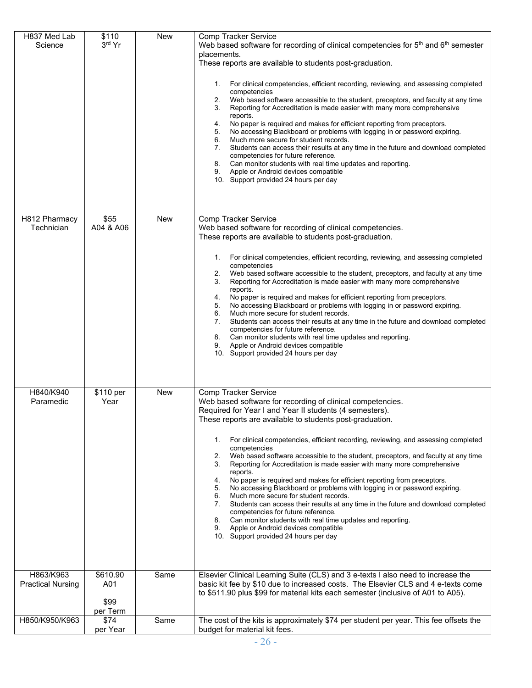| H837 Med Lab<br>Science               | \$110<br>3rd Yr         | <b>New</b> | <b>Comp Tracker Service</b><br>Web based software for recording of clinical competencies for 5 <sup>th</sup> and 6 <sup>th</sup> semester<br>placements.<br>These reports are available to students post-graduation.<br>For clinical competencies, efficient recording, reviewing, and assessing completed<br>1.<br>competencies<br>Web based software accessible to the student, preceptors, and faculty at any time<br>2.<br>Reporting for Accreditation is made easier with many more comprehensive<br>3.<br>reports.<br>No paper is required and makes for efficient reporting from preceptors.<br>4.<br>No accessing Blackboard or problems with logging in or password expiring.<br>5.<br>Much more secure for student records.<br>6.<br>Students can access their results at any time in the future and download completed<br>7.<br>competencies for future reference.<br>Can monitor students with real time updates and reporting.<br>8.<br>Apple or Android devices compatible<br>9.<br>10. Support provided 24 hours per day |
|---------------------------------------|-------------------------|------------|-----------------------------------------------------------------------------------------------------------------------------------------------------------------------------------------------------------------------------------------------------------------------------------------------------------------------------------------------------------------------------------------------------------------------------------------------------------------------------------------------------------------------------------------------------------------------------------------------------------------------------------------------------------------------------------------------------------------------------------------------------------------------------------------------------------------------------------------------------------------------------------------------------------------------------------------------------------------------------------------------------------------------------------------|
| H812 Pharmacy<br>Technician           | \$55<br>A04 & A06       | <b>New</b> | Comp Tracker Service<br>Web based software for recording of clinical competencies.<br>These reports are available to students post-graduation.<br>For clinical competencies, efficient recording, reviewing, and assessing completed<br>1.<br>competencies<br>Web based software accessible to the student, preceptors, and faculty at any time<br>2.<br>Reporting for Accreditation is made easier with many more comprehensive<br>3.<br>reports.<br>No paper is required and makes for efficient reporting from preceptors.<br>4.<br>No accessing Blackboard or problems with logging in or password expiring.<br>5.<br>6.<br>Much more secure for student records.<br>7.<br>Students can access their results at any time in the future and download completed<br>competencies for future reference.<br>8.<br>Can monitor students with real time updates and reporting.<br>9.<br>Apple or Android devices compatible<br>10. Support provided 24 hours per day                                                                       |
| H840/K940<br>Paramedic                | \$110 per<br>Year       | <b>New</b> | Comp Tracker Service<br>Web based software for recording of clinical competencies.<br>Required for Year I and Year II students (4 semesters).<br>These reports are available to students post-graduation.<br>For clinical competencies, efficient recording, reviewing, and assessing completed<br>1.<br>competencies<br>Web based software accessible to the student, preceptors, and faculty at any time<br>2.<br>Reporting for Accreditation is made easier with many more comprehensive<br>3.<br>reports.<br>No paper is required and makes for efficient reporting from preceptors.<br>4.<br>5.<br>No accessing Blackboard or problems with logging in or password expiring.<br>Much more secure for student records.<br>6.<br>7.<br>Students can access their results at any time in the future and download completed<br>competencies for future reference.<br>Can monitor students with real time updates and reporting.<br>8.<br>Apple or Android devices compatible<br>9.<br>10. Support provided 24 hours per day            |
| H863/K963<br><b>Practical Nursing</b> | \$610.90<br>A01<br>\$99 | Same       | Elsevier Clinical Learning Suite (CLS) and 3 e-texts I also need to increase the<br>basic kit fee by \$10 due to increased costs. The Elsevier CLS and 4 e-texts come<br>to \$511.90 plus \$99 for material kits each semester (inclusive of A01 to A05).                                                                                                                                                                                                                                                                                                                                                                                                                                                                                                                                                                                                                                                                                                                                                                               |
| H850/K950/K963                        | per Term<br>\$74        | Same       | The cost of the kits is approximately \$74 per student per year. This fee offsets the                                                                                                                                                                                                                                                                                                                                                                                                                                                                                                                                                                                                                                                                                                                                                                                                                                                                                                                                                   |
|                                       | per Year                |            | budget for material kit fees.                                                                                                                                                                                                                                                                                                                                                                                                                                                                                                                                                                                                                                                                                                                                                                                                                                                                                                                                                                                                           |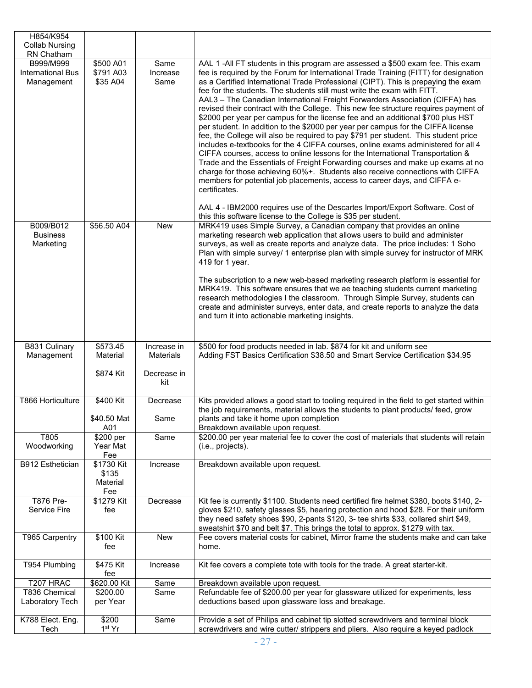| H854/K954                                           |                                        |                          |                                                                                                                                                                                                                                                                                                                                                                                                                                                                                                                                                                                                                                                                                                                                                                                                                                                                                                                                                                                                                                                                                                                                                                                                                                                                                                        |
|-----------------------------------------------------|----------------------------------------|--------------------------|--------------------------------------------------------------------------------------------------------------------------------------------------------------------------------------------------------------------------------------------------------------------------------------------------------------------------------------------------------------------------------------------------------------------------------------------------------------------------------------------------------------------------------------------------------------------------------------------------------------------------------------------------------------------------------------------------------------------------------------------------------------------------------------------------------------------------------------------------------------------------------------------------------------------------------------------------------------------------------------------------------------------------------------------------------------------------------------------------------------------------------------------------------------------------------------------------------------------------------------------------------------------------------------------------------|
| <b>Collab Nursing</b>                               |                                        |                          |                                                                                                                                                                                                                                                                                                                                                                                                                                                                                                                                                                                                                                                                                                                                                                                                                                                                                                                                                                                                                                                                                                                                                                                                                                                                                                        |
| RN Chatham                                          |                                        |                          |                                                                                                                                                                                                                                                                                                                                                                                                                                                                                                                                                                                                                                                                                                                                                                                                                                                                                                                                                                                                                                                                                                                                                                                                                                                                                                        |
| B999/M999<br><b>International Bus</b><br>Management | \$500 A01<br>\$791 A03<br>\$35 A04     | Same<br>Increase<br>Same | AAL 1 -All FT students in this program are assessed a \$500 exam fee. This exam<br>fee is required by the Forum for International Trade Training (FITT) for designation<br>as a Certified International Trade Professional (CIPT). This is prepaying the exam<br>fee for the students. The students still must write the exam with FITT.<br>AAL3 – The Canadian International Freight Forwarders Association (CIFFA) has<br>revised their contract with the College. This new fee structure requires payment of<br>\$2000 per year per campus for the license fee and an additional \$700 plus HST<br>per student. In addition to the \$2000 per year per campus for the CIFFA license<br>fee, the College will also be required to pay \$791 per student. This student price<br>includes e-textbooks for the 4 CIFFA courses, online exams administered for all 4<br>CIFFA courses, access to online lessons for the International Transportation &<br>Trade and the Essentials of Freight Forwarding courses and make up exams at no<br>charge for those achieving 60%+. Students also receive connections with CIFFA<br>members for potential job placements, access to career days, and CIFFA e-<br>certificates.<br>AAL 4 - IBM2000 requires use of the Descartes Import/Export Software. Cost of |
|                                                     |                                        |                          | this this software license to the College is \$35 per student.                                                                                                                                                                                                                                                                                                                                                                                                                                                                                                                                                                                                                                                                                                                                                                                                                                                                                                                                                                                                                                                                                                                                                                                                                                         |
| B009/B012<br><b>Business</b><br>Marketing           | \$56.50 A04                            | New                      | MRK419 uses Simple Survey, a Canadian company that provides an online<br>marketing research web application that allows users to build and administer<br>surveys, as well as create reports and analyze data. The price includes: 1 Soho<br>Plan with simple survey/ 1 enterprise plan with simple survey for instructor of MRK<br>419 for 1 year.<br>The subscription to a new web-based marketing research platform is essential for<br>MRK419. This software ensures that we ae teaching students current marketing<br>research methodologies I the classroom. Through Simple Survey, students can<br>create and administer surveys, enter data, and create reports to analyze the data<br>and turn it into actionable marketing insights.                                                                                                                                                                                                                                                                                                                                                                                                                                                                                                                                                          |
| B831 Culinary                                       | \$573.45                               | Increase in              | \$500 for food products needed in lab. \$874 for kit and uniform see                                                                                                                                                                                                                                                                                                                                                                                                                                                                                                                                                                                                                                                                                                                                                                                                                                                                                                                                                                                                                                                                                                                                                                                                                                   |
| Management                                          | Material                               | Materials                | Adding FST Basics Certification \$38.50 and Smart Service Certification \$34.95                                                                                                                                                                                                                                                                                                                                                                                                                                                                                                                                                                                                                                                                                                                                                                                                                                                                                                                                                                                                                                                                                                                                                                                                                        |
|                                                     | \$874 Kit                              | Decrease in<br>kit       |                                                                                                                                                                                                                                                                                                                                                                                                                                                                                                                                                                                                                                                                                                                                                                                                                                                                                                                                                                                                                                                                                                                                                                                                                                                                                                        |
| T866 Horticulture                                   | \$400 Kit                              | Decrease                 | Kits provided allows a good start to tooling required in the field to get started within                                                                                                                                                                                                                                                                                                                                                                                                                                                                                                                                                                                                                                                                                                                                                                                                                                                                                                                                                                                                                                                                                                                                                                                                               |
|                                                     | \$40.50 Mat<br>A01                     | Same                     | the job requirements, material allows the students to plant products/feed, grow<br>plants and take it home upon completion<br>Breakdown available upon request.                                                                                                                                                                                                                                                                                                                                                                                                                                                                                                                                                                                                                                                                                                                                                                                                                                                                                                                                                                                                                                                                                                                                        |
| T805                                                | $\overline{$}200$ per                  | Same                     | \$200.00 per year material fee to cover the cost of materials that students will retain                                                                                                                                                                                                                                                                                                                                                                                                                                                                                                                                                                                                                                                                                                                                                                                                                                                                                                                                                                                                                                                                                                                                                                                                                |
| Woodworking                                         | Year Mat<br>Fee                        |                          | (i.e., projects).                                                                                                                                                                                                                                                                                                                                                                                                                                                                                                                                                                                                                                                                                                                                                                                                                                                                                                                                                                                                                                                                                                                                                                                                                                                                                      |
| <b>B912 Esthetician</b>                             | \$1730 Kit<br>\$135<br>Material<br>Fee | Increase                 | Breakdown available upon request.                                                                                                                                                                                                                                                                                                                                                                                                                                                                                                                                                                                                                                                                                                                                                                                                                                                                                                                                                                                                                                                                                                                                                                                                                                                                      |
| T876 Pre-<br>Service Fire                           | \$1279 Kit<br>fee                      | Decrease                 | Kit fee is currently \$1100. Students need certified fire helmet \$380, boots \$140, 2-<br>gloves \$210, safety glasses \$5, hearing protection and hood \$28. For their uniform<br>they need safety shoes \$90, 2-pants \$120, 3- tee shirts \$33, collared shirt \$49,                                                                                                                                                                                                                                                                                                                                                                                                                                                                                                                                                                                                                                                                                                                                                                                                                                                                                                                                                                                                                               |
| T965 Carpentry                                      | \$100 Kit<br>fee                       | New                      | sweatshirt \$70 and belt \$7. This brings the total to approx. \$1279 with tax.<br>Fee covers material costs for cabinet, Mirror frame the students make and can take<br>home.                                                                                                                                                                                                                                                                                                                                                                                                                                                                                                                                                                                                                                                                                                                                                                                                                                                                                                                                                                                                                                                                                                                         |
| T954 Plumbing                                       | \$475 Kit<br>fee                       | Increase                 | Kit fee covers a complete tote with tools for the trade. A great starter-kit.                                                                                                                                                                                                                                                                                                                                                                                                                                                                                                                                                                                                                                                                                                                                                                                                                                                                                                                                                                                                                                                                                                                                                                                                                          |
| T207 HRAC                                           | \$620.00 Kit                           | Same                     | Breakdown available upon request.                                                                                                                                                                                                                                                                                                                                                                                                                                                                                                                                                                                                                                                                                                                                                                                                                                                                                                                                                                                                                                                                                                                                                                                                                                                                      |
| T836 Chemical                                       | \$200.00                               | Same                     | Refundable fee of \$200.00 per year for glassware utilized for experiments, less                                                                                                                                                                                                                                                                                                                                                                                                                                                                                                                                                                                                                                                                                                                                                                                                                                                                                                                                                                                                                                                                                                                                                                                                                       |
| Laboratory Tech                                     | per Year                               |                          | deductions based upon glassware loss and breakage.                                                                                                                                                                                                                                                                                                                                                                                                                                                                                                                                                                                                                                                                                                                                                                                                                                                                                                                                                                                                                                                                                                                                                                                                                                                     |
| K788 Elect. Eng.                                    | \$200                                  | Same                     | Provide a set of Philips and cabinet tip slotted screwdrivers and terminal block                                                                                                                                                                                                                                                                                                                                                                                                                                                                                                                                                                                                                                                                                                                                                                                                                                                                                                                                                                                                                                                                                                                                                                                                                       |
| Tech                                                | 1 <sup>st</sup> Yr                     |                          | screwdrivers and wire cutter/ strippers and pliers. Also require a keyed padlock                                                                                                                                                                                                                                                                                                                                                                                                                                                                                                                                                                                                                                                                                                                                                                                                                                                                                                                                                                                                                                                                                                                                                                                                                       |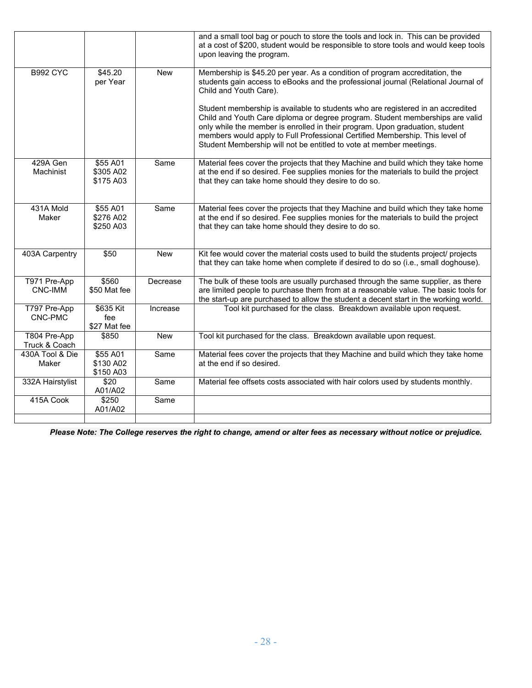|                               |                                              |            | and a small tool bag or pouch to store the tools and lock in. This can be provided<br>at a cost of \$200, student would be responsible to store tools and would keep tools<br>upon leaving the program.                                                                                                                                                                                                 |
|-------------------------------|----------------------------------------------|------------|---------------------------------------------------------------------------------------------------------------------------------------------------------------------------------------------------------------------------------------------------------------------------------------------------------------------------------------------------------------------------------------------------------|
| <b>B992 CYC</b>               | \$45.20<br>per Year                          | <b>New</b> | Membership is \$45.20 per year. As a condition of program accreditation, the<br>students gain access to eBooks and the professional journal (Relational Journal of<br>Child and Youth Care).                                                                                                                                                                                                            |
|                               |                                              |            | Student membership is available to students who are registered in an accredited<br>Child and Youth Care diploma or degree program. Student memberships are valid<br>only while the member is enrolled in their program. Upon graduation, student<br>members would apply to Full Professional Certified Membership. This level of<br>Student Membership will not be entitled to vote at member meetings. |
| 429A Gen<br>Machinist         | \$55 A01<br>\$305 A02<br>\$175 A03           | Same       | Material fees cover the projects that they Machine and build which they take home<br>at the end if so desired. Fee supplies monies for the materials to build the project<br>that they can take home should they desire to do so.                                                                                                                                                                       |
| 431A Mold<br>Maker            | \$55 A01<br>\$276 A02<br>\$250 A03           | Same       | Material fees cover the projects that they Machine and build which they take home<br>at the end if so desired. Fee supplies monies for the materials to build the project<br>that they can take home should they desire to do so.                                                                                                                                                                       |
| 403A Carpentry                | \$50                                         | <b>New</b> | Kit fee would cover the material costs used to build the students project/ projects<br>that they can take home when complete if desired to do so (i.e., small doghouse).                                                                                                                                                                                                                                |
| T971 Pre-App<br>CNC-IMM       | \$560<br>\$50 Mat fee                        | Decrease   | The bulk of these tools are usually purchased through the same supplier, as there<br>are limited people to purchase them from at a reasonable value. The basic tools for<br>the start-up are purchased to allow the student a decent start in the working world.                                                                                                                                        |
| T797 Pre-App<br>CNC-PMC       | $\overline{$}635$ Kit<br>fee<br>\$27 Mat fee | Increase   | Tool kit purchased for the class. Breakdown available upon request.                                                                                                                                                                                                                                                                                                                                     |
| T804 Pre-App<br>Truck & Coach | \$850                                        | <b>New</b> | Tool kit purchased for the class. Breakdown available upon request.                                                                                                                                                                                                                                                                                                                                     |
| 430A Tool & Die<br>Maker      | \$55 A01<br>\$130 A02<br>\$150 A03           | Same       | Material fees cover the projects that they Machine and build which they take home<br>at the end if so desired.                                                                                                                                                                                                                                                                                          |
| 332A Hairstylist              | \$20<br>A01/A02                              | Same       | Material fee offsets costs associated with hair colors used by students monthly.                                                                                                                                                                                                                                                                                                                        |
| 415A Cook                     | \$250<br>A01/A02                             | Same       |                                                                                                                                                                                                                                                                                                                                                                                                         |

*Please Note: The College reserves the right to change, amend or alter fees as necessary without notice or prejudice.*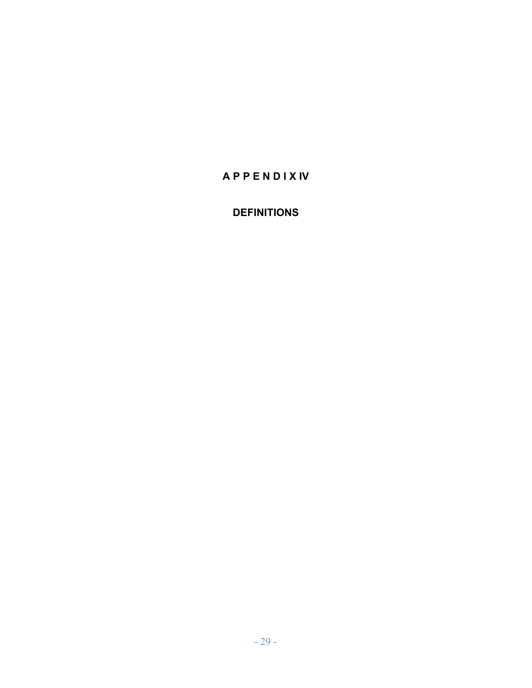# **A P P E N D I X IV**

# **DEFINITIONS**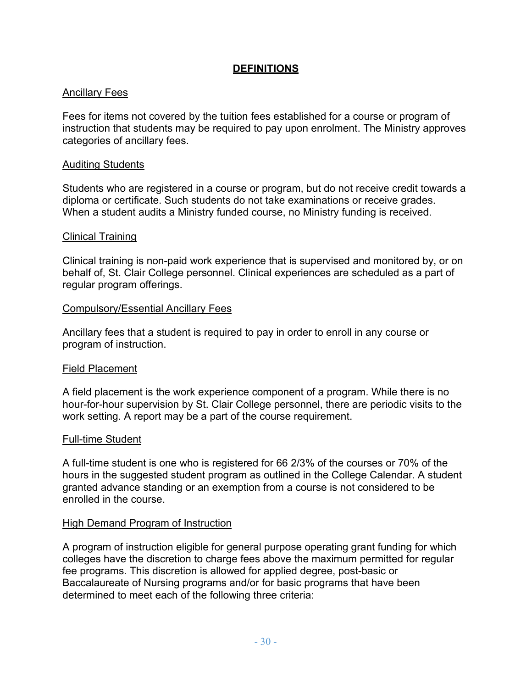#### **DEFINITIONS**

#### Ancillary Fees

Fees for items not covered by the tuition fees established for a course or program of instruction that students may be required to pay upon enrolment. The Ministry approves categories of ancillary fees.

#### Auditing Students

Students who are registered in a course or program, but do not receive credit towards a diploma or certificate. Such students do not take examinations or receive grades. When a student audits a Ministry funded course, no Ministry funding is received.

#### Clinical Training

Clinical training is non-paid work experience that is supervised and monitored by, or on behalf of, St. Clair College personnel. Clinical experiences are scheduled as a part of regular program offerings.

#### Compulsory/Essential Ancillary Fees

Ancillary fees that a student is required to pay in order to enroll in any course or program of instruction.

#### Field Placement

A field placement is the work experience component of a program. While there is no hour-for-hour supervision by St. Clair College personnel, there are periodic visits to the work setting. A report may be a part of the course requirement.

#### Full-time Student

A full-time student is one who is registered for 66 2/3% of the courses or 70% of the hours in the suggested student program as outlined in the College Calendar. A student granted advance standing or an exemption from a course is not considered to be enrolled in the course.

#### High Demand Program of Instruction

A program of instruction eligible for general purpose operating grant funding for which colleges have the discretion to charge fees above the maximum permitted for regular fee programs. This discretion is allowed for applied degree, post-basic or Baccalaureate of Nursing programs and/or for basic programs that have been determined to meet each of the following three criteria: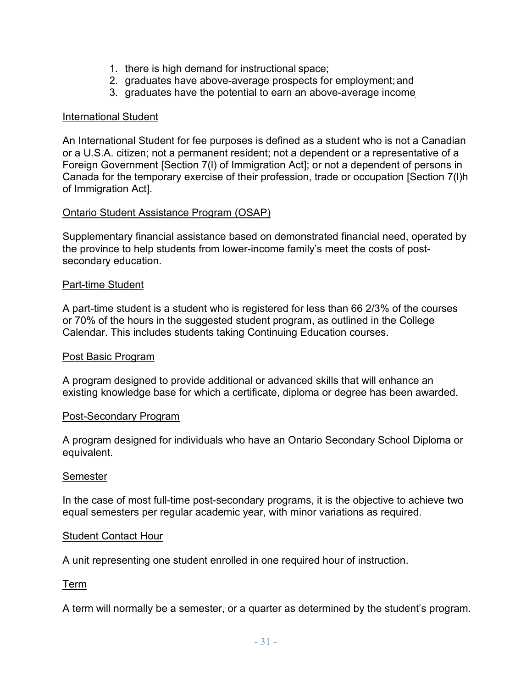- 1. there is high demand for instructional space;
- 2. graduates have above-average prospects for employment;and
- 3. graduates have the potential to earn an above-average income

#### International Student

An International Student for fee purposes is defined as a student who is not a Canadian or a U.S.A. citizen; not a permanent resident; not a dependent or a representative of a Foreign Government [Section 7(l) of Immigration Act]; or not a dependent of persons in Canada for the temporary exercise of their profession, trade or occupation [Section 7(l)h of Immigration Act].

#### Ontario Student Assistance Program (OSAP)

Supplementary financial assistance based on demonstrated financial need, operated by the province to help students from lower-income family's meet the costs of postsecondary education.

#### Part-time Student

A part-time student is a student who is registered for less than 66 2/3% of the courses or 70% of the hours in the suggested student program, as outlined in the College Calendar. This includes students taking Continuing Education courses.

#### Post Basic Program

A program designed to provide additional or advanced skills that will enhance an existing knowledge base for which a certificate, diploma or degree has been awarded.

#### Post-Secondary Program

A program designed for individuals who have an Ontario Secondary School Diploma or equivalent.

#### Semester

In the case of most full-time post-secondary programs, it is the objective to achieve two equal semesters per regular academic year, with minor variations as required.

#### Student Contact Hour

A unit representing one student enrolled in one required hour of instruction.

#### Term

A term will normally be a semester, or a quarter as determined by the student's program.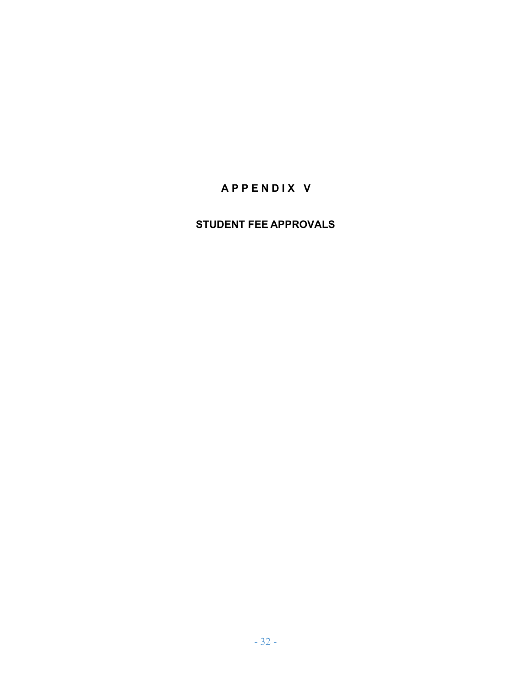# **A P P E N D I X V**

## **STUDENT FEE APPROVALS**